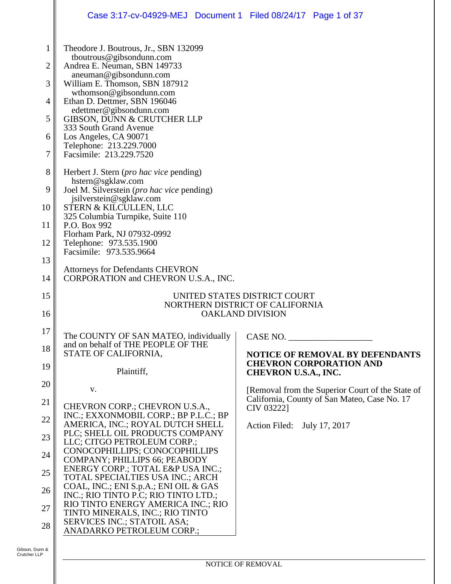## Case 3:17-cv-04929-MEJ Document 1 Filed 08/24/17 Page 1 of 37

| $\mathbf{1}$   | Theodore J. Boutrous, Jr., SBN 132099                                      |                                                            |  |  |  |  |  |
|----------------|----------------------------------------------------------------------------|------------------------------------------------------------|--|--|--|--|--|
| $\overline{c}$ | tboutrous@gibsondunn.com<br>Andrea E. Neuman, SBN 149733                   |                                                            |  |  |  |  |  |
| 3              | aneuman@gibsondunn.com<br>William E. Thomson, SBN 187912                   |                                                            |  |  |  |  |  |
| $\overline{4}$ | wthomson@gibsondunn.com<br>Ethan D. Dettmer, SBN 196046                    |                                                            |  |  |  |  |  |
| 5              | edettmer@gibsondunn.com<br><b>GIBSON, DUNN &amp; CRUTCHER LLP</b>          |                                                            |  |  |  |  |  |
|                | 333 South Grand Avenue                                                     |                                                            |  |  |  |  |  |
| 6              | Los Angeles, CA 90071<br>Telephone: 213.229.7000                           |                                                            |  |  |  |  |  |
| 7              | Facsimile: 213.229.7520                                                    |                                                            |  |  |  |  |  |
| 8              | Herbert J. Stern (pro hac vice pending)<br>hstern@sgklaw.com               |                                                            |  |  |  |  |  |
| 9              | Joel M. Silverstein (pro hac vice pending)<br>jsilverstein@sgklaw.com      |                                                            |  |  |  |  |  |
| 10             | STERN & KILCULLEN, LLC<br>325 Columbia Turnpike, Suite 110                 |                                                            |  |  |  |  |  |
| 11             | P.O. Box 992<br>Florham Park, NJ 07932-0992                                |                                                            |  |  |  |  |  |
| 12             | Telephone: 973.535.1900<br>Facsimile: 973.535.9664                         |                                                            |  |  |  |  |  |
| 13             |                                                                            |                                                            |  |  |  |  |  |
| 14             | Attorneys for Defendants CHEVRON<br>CORPORATION and CHEVRON U.S.A., INC.   |                                                            |  |  |  |  |  |
| 15             | UNITED STATES DISTRICT COURT                                               |                                                            |  |  |  |  |  |
| 16             | NORTHERN DISTRICT OF CALIFORNIA<br><b>OAKLAND DIVISION</b>                 |                                                            |  |  |  |  |  |
| 17             | The COUNTY OF SAN MATEO, individually                                      | CASE NO.                                                   |  |  |  |  |  |
| 18             | and on behalf of THE PEOPLE OF THE<br>STATE OF CALIFORNIA,                 | <b>NOTICE OF REMOVAL BY DEFENDANTS</b>                     |  |  |  |  |  |
| 19             | Plaintiff,                                                                 | <b>CHEVRON CORPORATION AND</b><br>CHEVRON U.S.A., INC.     |  |  |  |  |  |
| 20             | V.                                                                         | [Removal from the Superior Court of the State of           |  |  |  |  |  |
| 21             | CHEVRON CORP.; CHEVRON U.S.A.,                                             | California, County of San Mateo, Case No. 17<br>CIV 03222] |  |  |  |  |  |
| 22             | INC.; EXXONMOBIL CORP.; BP P.L.C.; BP<br>AMERICA, INC.; ROYAL DUTCH SHELL  | Action Filed:<br>July 17, 2017                             |  |  |  |  |  |
| 23             | PLC; SHELL OIL PRODUCTS COMPANY<br>LLC; CITGO PETROLEUM CORP.;             |                                                            |  |  |  |  |  |
| 24             | CONOCOPHILLIPS; CONOCOPHILLIPS                                             |                                                            |  |  |  |  |  |
| 25             | COMPANY; PHILLIPS 66; PEABODY<br>ENERGY CORP.; TOTAL E&P USA INC.;         |                                                            |  |  |  |  |  |
| 26             | TOTAL SPECIALTIES USA INC.; ARCH<br>COAL, INC.; ENI S.p.A.; ENI OIL & GAS  |                                                            |  |  |  |  |  |
| 27             | INC.; RIO TINTO P.C; RIO TINTO LTD.;<br>RIO TINTO ENERGY AMERICA INC.; RIO |                                                            |  |  |  |  |  |
| 28             | TINTO MINERALS, INC.; RIO TINTO<br>SERVICES INC.; STATOIL ASA;             |                                                            |  |  |  |  |  |
|                | ANADARKO PETROLEUM CORP.;                                                  |                                                            |  |  |  |  |  |
| Junn &         |                                                                            |                                                            |  |  |  |  |  |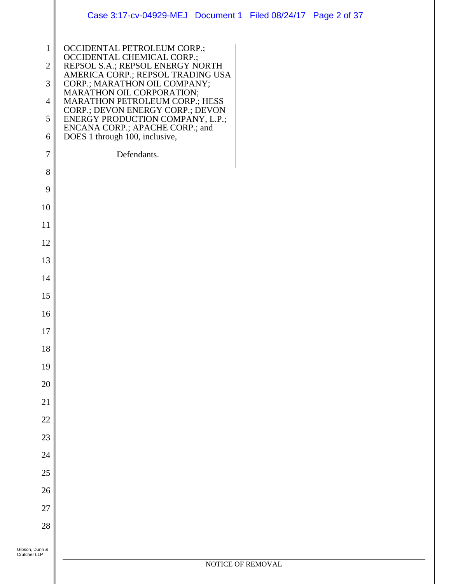|                                                                                                 | Case 3:17-cv-04929-MEJ Document 1 Filed 08/24/17 Page 2 of 37                                                                                                                                                                                                                                                                                                                                 |                   |  |  |
|-------------------------------------------------------------------------------------------------|-----------------------------------------------------------------------------------------------------------------------------------------------------------------------------------------------------------------------------------------------------------------------------------------------------------------------------------------------------------------------------------------------|-------------------|--|--|
| $\mathbf{1}$<br>$\sqrt{2}$<br>$\mathfrak{Z}$<br>$\overline{4}$<br>$\sqrt{5}$<br>6<br>$\sqrt{ }$ | OCCIDENTAL PETROLEUM CORP.;<br>OCCIDENTAL CHEMICAL CORP.;<br>REPSOL S.A.; REPSOL ENERGY NORTH<br>AMERICA CORP.; REPSOL TRADING USA<br>CORP.; MARATHON OIL COMPANY;<br>MARATHON OIL CORPORATION;<br>MARATHON PETROLEUM CORP.; HESS<br>CORP.; DEVON ENERGY CORP.; DEVON<br>ENERGY PRODUCTION COMPANY, L.P.;<br>ENCANA CORP.; APACHE CORP.; and<br>DOES 1 through 100, inclusive,<br>Defendants. |                   |  |  |
| $8\,$                                                                                           |                                                                                                                                                                                                                                                                                                                                                                                               |                   |  |  |
| 9                                                                                               |                                                                                                                                                                                                                                                                                                                                                                                               |                   |  |  |
| 10                                                                                              |                                                                                                                                                                                                                                                                                                                                                                                               |                   |  |  |
| 11                                                                                              |                                                                                                                                                                                                                                                                                                                                                                                               |                   |  |  |
| 12                                                                                              |                                                                                                                                                                                                                                                                                                                                                                                               |                   |  |  |
| 13                                                                                              |                                                                                                                                                                                                                                                                                                                                                                                               |                   |  |  |
| 14                                                                                              |                                                                                                                                                                                                                                                                                                                                                                                               |                   |  |  |
| 15                                                                                              |                                                                                                                                                                                                                                                                                                                                                                                               |                   |  |  |
| 16                                                                                              |                                                                                                                                                                                                                                                                                                                                                                                               |                   |  |  |
| $17\,$                                                                                          |                                                                                                                                                                                                                                                                                                                                                                                               |                   |  |  |
| 18                                                                                              |                                                                                                                                                                                                                                                                                                                                                                                               |                   |  |  |
| 19                                                                                              |                                                                                                                                                                                                                                                                                                                                                                                               |                   |  |  |
| 20                                                                                              |                                                                                                                                                                                                                                                                                                                                                                                               |                   |  |  |
| 21                                                                                              |                                                                                                                                                                                                                                                                                                                                                                                               |                   |  |  |
| 22<br>23                                                                                        |                                                                                                                                                                                                                                                                                                                                                                                               |                   |  |  |
| 24                                                                                              |                                                                                                                                                                                                                                                                                                                                                                                               |                   |  |  |
| 25                                                                                              |                                                                                                                                                                                                                                                                                                                                                                                               |                   |  |  |
| 26                                                                                              |                                                                                                                                                                                                                                                                                                                                                                                               |                   |  |  |
| 27                                                                                              |                                                                                                                                                                                                                                                                                                                                                                                               |                   |  |  |
| 28                                                                                              |                                                                                                                                                                                                                                                                                                                                                                                               |                   |  |  |
|                                                                                                 |                                                                                                                                                                                                                                                                                                                                                                                               |                   |  |  |
| Gibson, Dunn &<br>Crutcher LLP                                                                  |                                                                                                                                                                                                                                                                                                                                                                                               |                   |  |  |
|                                                                                                 |                                                                                                                                                                                                                                                                                                                                                                                               | NOTICE OF REMOVAL |  |  |
|                                                                                                 |                                                                                                                                                                                                                                                                                                                                                                                               |                   |  |  |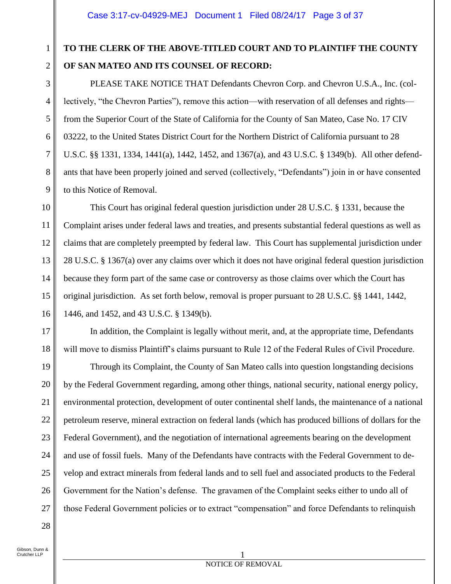# **TO THE CLERK OF THE ABOVE-TITLED COURT AND TO PLAINTIFF THE COUNTY OF SAN MATEO AND ITS COUNSEL OF RECORD:**

PLEASE TAKE NOTICE THAT Defendants Chevron Corp. and Chevron U.S.A., Inc. (collectively, "the Chevron Parties"), remove this action—with reservation of all defenses and rights from the Superior Court of the State of California for the County of San Mateo, Case No. 17 CIV 03222, to the United States District Court for the Northern District of California pursuant to 28 U.S.C. §§ 1331, 1334, 1441(a), 1442, 1452, and 1367(a), and 43 U.S.C. § 1349(b). All other defendants that have been properly joined and served (collectively, "Defendants") join in or have consented to this Notice of Removal.

10 11 12 13 14 15 16 This Court has original federal question jurisdiction under 28 U.S.C. § 1331, because the Complaint arises under federal laws and treaties, and presents substantial federal questions as well as claims that are completely preempted by federal law. This Court has supplemental jurisdiction under 28 U.S.C. § 1367(a) over any claims over which it does not have original federal question jurisdiction because they form part of the same case or controversy as those claims over which the Court has original jurisdiction. As set forth below, removal is proper pursuant to 28 U.S.C. §§ 1441, 1442, 1446, and 1452, and 43 U.S.C. § 1349(b).

In addition, the Complaint is legally without merit, and, at the appropriate time, Defendants will move to dismiss Plaintiff's claims pursuant to Rule 12 of the Federal Rules of Civil Procedure.

22 26 Through its Complaint, the County of San Mateo calls into question longstanding decisions by the Federal Government regarding, among other things, national security, national energy policy, environmental protection, development of outer continental shelf lands, the maintenance of a national petroleum reserve, mineral extraction on federal lands (which has produced billions of dollars for the Federal Government), and the negotiation of international agreements bearing on the development and use of fossil fuels. Many of the Defendants have contracts with the Federal Government to develop and extract minerals from federal lands and to sell fuel and associated products to the Federal Government for the Nation's defense. The gravamen of the Complaint seeks either to undo all of those Federal Government policies or to extract "compensation" and force Defendants to relinquish

28

1

2

3

4

5

6

7

8

9

17

18

19

20

21

23

24

25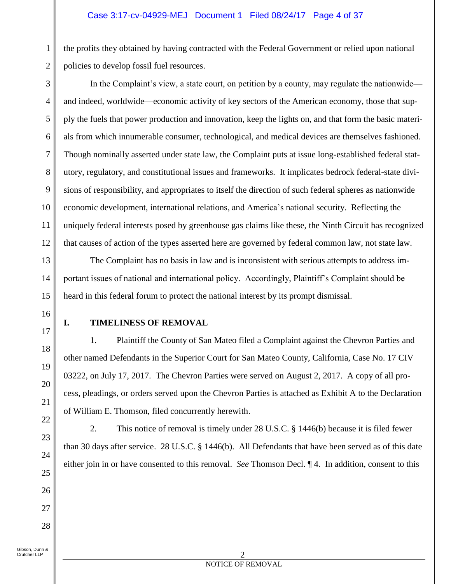the profits they obtained by having contracted with the Federal Government or relied upon national policies to develop fossil fuel resources.

In the Complaint's view, a state court, on petition by a county, may regulate the nationwide and indeed, worldwide—economic activity of key sectors of the American economy, those that supply the fuels that power production and innovation, keep the lights on, and that form the basic materials from which innumerable consumer, technological, and medical devices are themselves fashioned. Though nominally asserted under state law, the Complaint puts at issue long-established federal statutory, regulatory, and constitutional issues and frameworks. It implicates bedrock federal-state divisions of responsibility, and appropriates to itself the direction of such federal spheres as nationwide economic development, international relations, and America's national security. Reflecting the uniquely federal interests posed by greenhouse gas claims like these, the Ninth Circuit has recognized that causes of action of the types asserted here are governed by federal common law, not state law.

The Complaint has no basis in law and is inconsistent with serious attempts to address important issues of national and international policy. Accordingly, Plaintiff's Complaint should be heard in this federal forum to protect the national interest by its prompt dismissal.

16 17

1

2

3

4

5

6

7

8

9

10

11

12

13

14

15

18

19

20

21

22

23

24

25

26

27

28

## **I. TIMELINESS OF REMOVAL**

1. Plaintiff the County of San Mateo filed a Complaint against the Chevron Parties and other named Defendants in the Superior Court for San Mateo County, California, Case No. 17 CIV 03222, on July 17, 2017. The Chevron Parties were served on August 2, 2017. A copy of all process, pleadings, or orders served upon the Chevron Parties is attached as Exhibit A to the Declaration of William E. Thomson, filed concurrently herewith.

2. This notice of removal is timely under 28 U.S.C. § 1446(b) because it is filed fewer than 30 days after service. 28 U.S.C. § 1446(b). All Defendants that have been served as of this date either join in or have consented to this removal. *See* Thomson Decl. ¶ 4. In addition, consent to this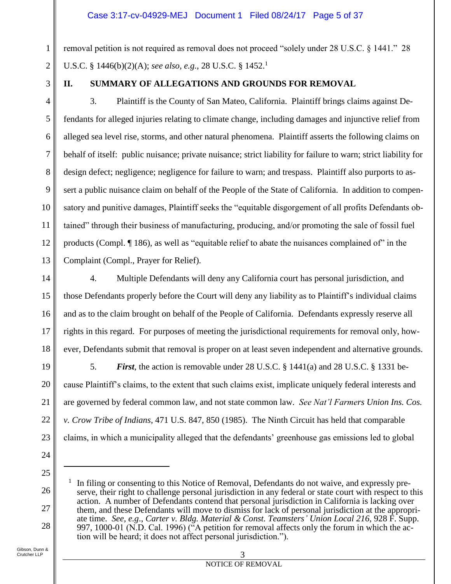## Case 3:17-cv-04929-MEJ Document 1 Filed 08/24/17 Page 5 of 37

removal petition is not required as removal does not proceed "solely under 28 U.S.C. § 1441." 28 U.S.C. § 1446(b)(2)(A); *see also, e.g.*, 28 U.S.C. § 1452.<sup>1</sup>

3

4

5

6

7

8

9

10

11

12

13

14

15

16

17

18

1

2

## **II. SUMMARY OF ALLEGATIONS AND GROUNDS FOR REMOVAL**

3. Plaintiff is the County of San Mateo, California. Plaintiff brings claims against Defendants for alleged injuries relating to climate change, including damages and injunctive relief from alleged sea level rise, storms, and other natural phenomena. Plaintiff asserts the following claims on behalf of itself: public nuisance; private nuisance; strict liability for failure to warn; strict liability for design defect; negligence; negligence for failure to warn; and trespass. Plaintiff also purports to assert a public nuisance claim on behalf of the People of the State of California. In addition to compensatory and punitive damages, Plaintiff seeks the "equitable disgorgement of all profits Defendants obtained" through their business of manufacturing, producing, and/or promoting the sale of fossil fuel products (Compl. ¶ 186), as well as "equitable relief to abate the nuisances complained of" in the Complaint (Compl., Prayer for Relief).

4. Multiple Defendants will deny any California court has personal jurisdiction, and those Defendants properly before the Court will deny any liability as to Plaintiff's individual claims and as to the claim brought on behalf of the People of California. Defendants expressly reserve all rights in this regard. For purposes of meeting the jurisdictional requirements for removal only, however, Defendants submit that removal is proper on at least seven independent and alternative grounds.

19 20 21 22 23 5. *First*, the action is removable under 28 U.S.C. § 1441(a) and 28 U.S.C. § 1331 because Plaintiff's claims, to the extent that such claims exist, implicate uniquely federal interests and are governed by federal common law, and not state common law. *See Nat'l Farmers Union Ins. Cos. v. Crow Tribe of Indians*, 471 U.S. 847, 850 (1985). The Ninth Circuit has held that comparable claims, in which a municipality alleged that the defendants' greenhouse gas emissions led to global

25

 $\overline{a}$ 

26

27

28

<sup>1</sup> In filing or consenting to this Notice of Removal, Defendants do not waive, and expressly preserve, their right to challenge personal jurisdiction in any federal or state court with respect to this action. A number of Defendants contend that personal jurisdiction in California is lacking over them, and these Defendants will move to dismiss for lack of personal jurisdiction at the appropriate time. *See, e.g*., *Carter v. Bldg. Material & Const. Teamsters' Union Local 216*, 928 F. Supp. 997, 1000-01 (N.D. Cal. 1996) ("A petition for removal affects only the forum in which the action will be heard; it does not affect personal jurisdiction.").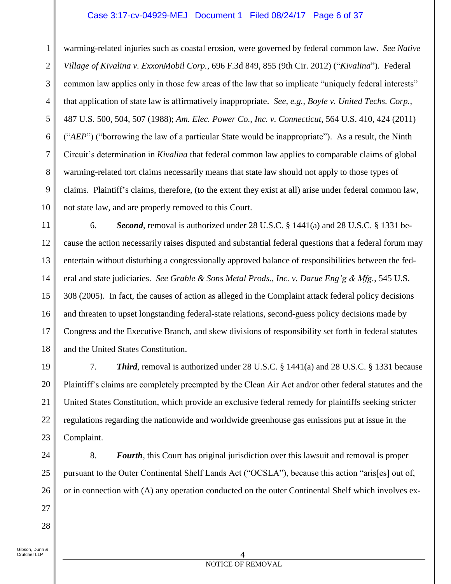## Case 3:17-cv-04929-MEJ Document 1 Filed 08/24/17 Page 6 of 37

1 2 3 4 5 6 7 8 9 10 warming-related injuries such as coastal erosion, were governed by federal common law. *See Native Village of Kivalina v. ExxonMobil Corp.*, 696 F.3d 849, 855 (9th Cir. 2012) ("*Kivalina*"). Federal common law applies only in those few areas of the law that so implicate "uniquely federal interests" that application of state law is affirmatively inappropriate. *See, e.g.*, *Boyle v. United Techs. Corp.*, 487 U.S. 500, 504, 507 (1988); *Am. Elec. Power Co., Inc. v. Connecticut*, 564 U.S. 410, 424 (2011) ("*AEP*") ("borrowing the law of a particular State would be inappropriate"). As a result, the Ninth Circuit's determination in *Kivalina* that federal common law applies to comparable claims of global warming-related tort claims necessarily means that state law should not apply to those types of claims. Plaintiff's claims, therefore, (to the extent they exist at all) arise under federal common law, not state law, and are properly removed to this Court.

11 12 13 14 15 16 17 18 6. *Second*, removal is authorized under 28 U.S.C. § 1441(a) and 28 U.S.C. § 1331 because the action necessarily raises disputed and substantial federal questions that a federal forum may entertain without disturbing a congressionally approved balance of responsibilities between the federal and state judiciaries. *See Grable & Sons Metal Prods., Inc. v. Darue Eng'g & Mfg.*, 545 U.S. 308 (2005). In fact, the causes of action as alleged in the Complaint attack federal policy decisions and threaten to upset longstanding federal-state relations, second-guess policy decisions made by Congress and the Executive Branch, and skew divisions of responsibility set forth in federal statutes and the United States Constitution.

19 20 21 22 23 7. *Third*, removal is authorized under 28 U.S.C. § 1441(a) and 28 U.S.C. § 1331 because Plaintiff's claims are completely preempted by the Clean Air Act and/or other federal statutes and the United States Constitution, which provide an exclusive federal remedy for plaintiffs seeking stricter regulations regarding the nationwide and worldwide greenhouse gas emissions put at issue in the Complaint.

24 25 26

27

28

8. *Fourth*, this Court has original jurisdiction over this lawsuit and removal is proper pursuant to the Outer Continental Shelf Lands Act ("OCSLA"), because this action "aris[es] out of, or in connection with (A) any operation conducted on the outer Continental Shelf which involves ex-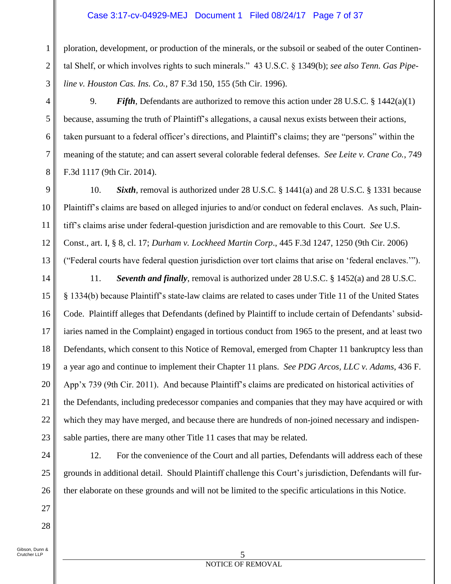## Case 3:17-cv-04929-MEJ Document 1 Filed 08/24/17 Page 7 of 37

ploration, development, or production of the minerals, or the subsoil or seabed of the outer Continental Shelf, or which involves rights to such minerals." 43 U.S.C. § 1349(b); *see also Tenn. Gas Pipeline v. Houston Cas. Ins. Co.*, 87 F.3d 150, 155 (5th Cir. 1996).

9. *Fifth*, Defendants are authorized to remove this action under 28 U.S.C. § 1442(a)(1) because, assuming the truth of Plaintiff's allegations, a causal nexus exists between their actions, taken pursuant to a federal officer's directions, and Plaintiff's claims; they are "persons" within the meaning of the statute; and can assert several colorable federal defenses. *See Leite v. Crane Co.*, 749 F.3d 1117 (9th Cir. 2014).

9 10 11 12 13 10. *Sixth*, removal is authorized under 28 U.S.C. § 1441(a) and 28 U.S.C. § 1331 because Plaintiff's claims are based on alleged injuries to and/or conduct on federal enclaves. As such, Plaintiff's claims arise under federal-question jurisdiction and are removable to this Court. *See* U.S. Const., art. I, § 8, cl. 17; *Durham v. Lockheed Martin Corp*., 445 F.3d 1247, 1250 (9th Cir. 2006) ("Federal courts have federal question jurisdiction over tort claims that arise on 'federal enclaves.'").

14

15

16

17

18

19

20

21

22

23

1

2

3

4

5

6

7

8

11. *Seventh and finally*, removal is authorized under 28 U.S.C. § 1452(a) and 28 U.S.C. § 1334(b) because Plaintiff's state-law claims are related to cases under Title 11 of the United States Code. Plaintiff alleges that Defendants (defined by Plaintiff to include certain of Defendants' subsidiaries named in the Complaint) engaged in tortious conduct from 1965 to the present, and at least two Defendants, which consent to this Notice of Removal, emerged from Chapter 11 bankruptcy less than a year ago and continue to implement their Chapter 11 plans. *See PDG Arcos, LLC v. Adams*, 436 F. App'x 739 (9th Cir. 2011). And because Plaintiff's claims are predicated on historical activities of the Defendants, including predecessor companies and companies that they may have acquired or with which they may have merged, and because there are hundreds of non-joined necessary and indispensable parties, there are many other Title 11 cases that may be related.

28

12. For the convenience of the Court and all parties, Defendants will address each of these grounds in additional detail. Should Plaintiff challenge this Court's jurisdiction, Defendants will further elaborate on these grounds and will not be limited to the specific articulations in this Notice.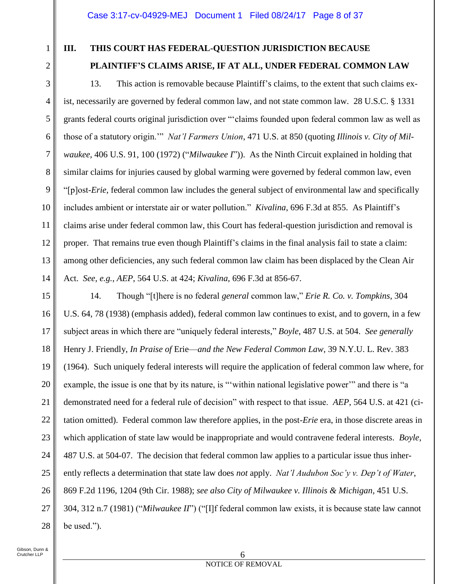1

2

3

4

5

6

7

8

9

10

11

12

13

14

## **III. THIS COURT HAS FEDERAL-QUESTION JURISDICTION BECAUSE**

## **PLAINTIFF'S CLAIMS ARISE, IF AT ALL, UNDER FEDERAL COMMON LAW**

13. This action is removable because Plaintiff's claims, to the extent that such claims exist, necessarily are governed by federal common law, and not state common law. 28 U.S.C. § 1331 grants federal courts original jurisdiction over "'claims founded upon federal common law as well as those of a statutory origin.'" *Nat'l Farmers Union*, 471 U.S. at 850 (quoting *Illinois v. City of Milwaukee*, 406 U.S. 91, 100 (1972) ("*Milwaukee I*")). As the Ninth Circuit explained in holding that similar claims for injuries caused by global warming were governed by federal common law, even "[p]ost-*Erie*, federal common law includes the general subject of environmental law and specifically includes ambient or interstate air or water pollution." *Kivalina*, 696 F.3d at 855. As Plaintiff's claims arise under federal common law, this Court has federal-question jurisdiction and removal is proper. That remains true even though Plaintiff's claims in the final analysis fail to state a claim: among other deficiencies, any such federal common law claim has been displaced by the Clean Air Act. *See, e.g.*, *AEP*, 564 U.S. at 424; *Kivalina*, 696 F.3d at 856-67.

15 16 17 18 19 20 21 22 23 24 25 26 27 28 14. Though "[t]here is no federal *general* common law," *Erie R. Co. v. Tompkins*, 304 U.S. 64, 78 (1938) (emphasis added), federal common law continues to exist, and to govern, in a few subject areas in which there are "uniquely federal interests," *Boyle*, 487 U.S. at 504. *See generally*  Henry J. Friendly, *In Praise of* Erie—*and the New Federal Common Law*, 39 N.Y.U. L. Rev. 383 (1964). Such uniquely federal interests will require the application of federal common law where, for example, the issue is one that by its nature, is "'within national legislative power'" and there is "a demonstrated need for a federal rule of decision" with respect to that issue. *AEP*, 564 U.S. at 421 (citation omitted). Federal common law therefore applies, in the post-*Erie* era, in those discrete areas in which application of state law would be inappropriate and would contravene federal interests. *Boyle*, 487 U.S. at 504-07. The decision that federal common law applies to a particular issue thus inherently reflects a determination that state law does *not* apply. *Nat'l Audubon Soc'y v. Dep't of Water*, 869 F.2d 1196, 1204 (9th Cir. 1988); *see also City of Milwaukee v. Illinois & Michigan*, 451 U.S. 304, 312 n.7 (1981) ("*Milwaukee II*") ("[I]f federal common law exists, it is because state law cannot be used.").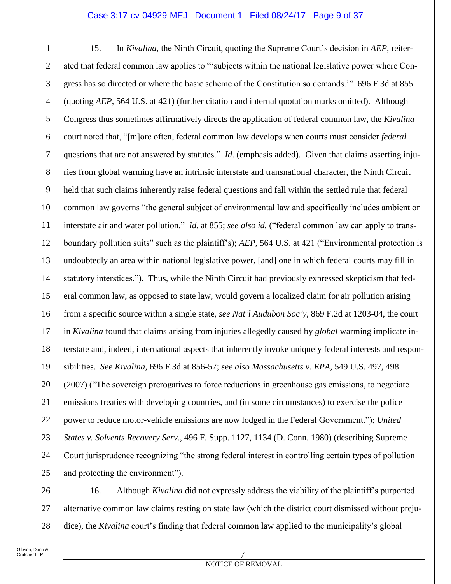### Case 3:17-cv-04929-MEJ Document 1 Filed 08/24/17 Page 9 of 37

1 2 3 4 5 6 7 8 9 10 11 12 13 14 15 16 17 18 19 20 21 22 23 24 25 15. In *Kivalina*, the Ninth Circuit, quoting the Supreme Court's decision in *AEP*, reiterated that federal common law applies to "'subjects within the national legislative power where Congress has so directed or where the basic scheme of the Constitution so demands.'" 696 F.3d at 855 (quoting *AEP*, 564 U.S. at 421) (further citation and internal quotation marks omitted). Although Congress thus sometimes affirmatively directs the application of federal common law, the *Kivalina* court noted that, "[m]ore often, federal common law develops when courts must consider *federal* questions that are not answered by statutes." *Id*. (emphasis added). Given that claims asserting injuries from global warming have an intrinsic interstate and transnational character, the Ninth Circuit held that such claims inherently raise federal questions and fall within the settled rule that federal common law governs "the general subject of environmental law and specifically includes ambient or interstate air and water pollution." *Id.* at 855; *see also id.* ("federal common law can apply to transboundary pollution suits" such as the plaintiff's); *AEP*, 564 U.S. at 421 ("Environmental protection is undoubtedly an area within national legislative power, [and] one in which federal courts may fill in statutory interstices."). Thus, while the Ninth Circuit had previously expressed skepticism that federal common law, as opposed to state law, would govern a localized claim for air pollution arising from a specific source within a single state, *see Nat'l Audubon Soc'y*, 869 F.2d at 1203-04, the court in *Kivalina* found that claims arising from injuries allegedly caused by *global* warming implicate interstate and, indeed, international aspects that inherently invoke uniquely federal interests and responsibilities. *See Kivalina*, 696 F.3d at 856-57; *see also Massachusetts v. EPA*, 549 U.S. 497, 498 (2007) ("The sovereign prerogatives to force reductions in greenhouse gas emissions, to negotiate emissions treaties with developing countries, and (in some circumstances) to exercise the police power to reduce motor-vehicle emissions are now lodged in the Federal Government."); *United States v. Solvents Recovery Serv.*, 496 F. Supp. 1127, 1134 (D. Conn. 1980) (describing Supreme Court jurisprudence recognizing "the strong federal interest in controlling certain types of pollution and protecting the environment").

26 27 28 16. Although *Kivalina* did not expressly address the viability of the plaintiff's purported alternative common law claims resting on state law (which the district court dismissed without prejudice), the *Kivalina* court's finding that federal common law applied to the municipality's global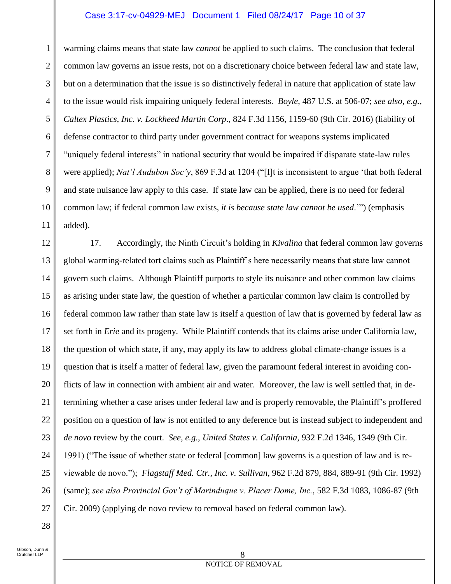## Case 3:17-cv-04929-MEJ Document 1 Filed 08/24/17 Page 10 of 37

1 2 3 4 5 6 7 8 9 10 11 warming claims means that state law *cannot* be applied to such claims. The conclusion that federal common law governs an issue rests, not on a discretionary choice between federal law and state law, but on a determination that the issue is so distinctively federal in nature that application of state law to the issue would risk impairing uniquely federal interests. *Boyle*, 487 U.S. at 506-07; *see also, e.g.*, *Caltex Plastics, Inc. v. Lockheed Martin Corp*., 824 F.3d 1156, 1159-60 (9th Cir. 2016) (liability of defense contractor to third party under government contract for weapons systems implicated "uniquely federal interests" in national security that would be impaired if disparate state-law rules were applied); *Nat'l Audubon Soc'y*, 869 F.3d at 1204 ("[I]t is inconsistent to argue 'that both federal and state nuisance law apply to this case. If state law can be applied, there is no need for federal common law; if federal common law exists, *it is because state law cannot be used*.'") (emphasis added).

12 13 14 15 16 17 18 19 20 21 22 23 24 25 26 27 17. Accordingly, the Ninth Circuit's holding in *Kivalina* that federal common law governs global warming-related tort claims such as Plaintiff's here necessarily means that state law cannot govern such claims. Although Plaintiff purports to style its nuisance and other common law claims as arising under state law, the question of whether a particular common law claim is controlled by federal common law rather than state law is itself a question of law that is governed by federal law as set forth in *Erie* and its progeny. While Plaintiff contends that its claims arise under California law, the question of which state, if any, may apply its law to address global climate-change issues is a question that is itself a matter of federal law, given the paramount federal interest in avoiding conflicts of law in connection with ambient air and water. Moreover, the law is well settled that, in determining whether a case arises under federal law and is properly removable, the Plaintiff's proffered position on a question of law is not entitled to any deference but is instead subject to independent and *de novo* review by the court. *See, e.g.*, *United States v. California*, 932 F.2d 1346, 1349 (9th Cir. 1991) ("The issue of whether state or federal [common] law governs is a question of law and is reviewable de novo."); *Flagstaff Med. Ctr., Inc. v. Sullivan*, 962 F.2d 879, 884, 889-91 (9th Cir. 1992) (same); *see also Provincial Gov't of Marinduque v. Placer Dome, Inc.*, 582 F.3d 1083, 1086-87 (9th Cir. 2009) (applying de novo review to removal based on federal common law).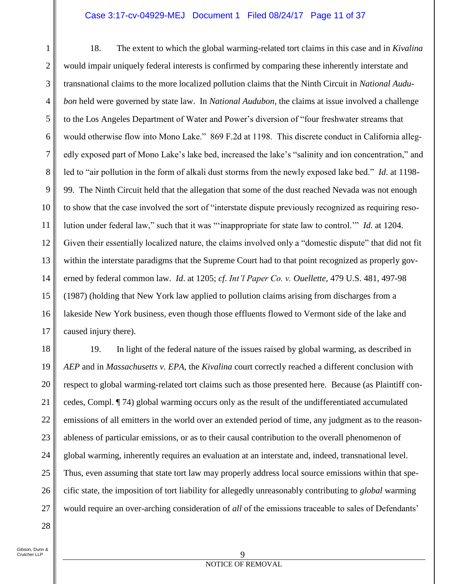## Case 3:17-cv-04929-MEJ Document 1 Filed 08/24/17 Page 11 of 37

1 2 3 4 5 6 7 8 9 10 11 12 13 14 15 16 17 18. The extent to which the global warming-related tort claims in this case and in *Kivalina* would impair uniquely federal interests is confirmed by comparing these inherently interstate and transnational claims to the more localized pollution claims that the Ninth Circuit in *National Audubon* held were governed by state law. In *National Audubon*, the claims at issue involved a challenge to the Los Angeles Department of Water and Power's diversion of "four freshwater streams that would otherwise flow into Mono Lake." 869 F.2d at 1198. This discrete conduct in California allegedly exposed part of Mono Lake's lake bed, increased the lake's "salinity and ion concentration," and led to "air pollution in the form of alkali dust storms from the newly exposed lake bed." *Id*. at 1198- 99. The Ninth Circuit held that the allegation that some of the dust reached Nevada was not enough to show that the case involved the sort of "interstate dispute previously recognized as requiring resolution under federal law," such that it was "'inappropriate for state law to control.'" *Id*. at 1204. Given their essentially localized nature, the claims involved only a "domestic dispute" that did not fit within the interstate paradigms that the Supreme Court had to that point recognized as properly governed by federal common law. *Id*. at 1205; *cf*. *Int'l Paper Co. v. Ouellette*, 479 U.S. 481, 497-98 (1987) (holding that New York law applied to pollution claims arising from discharges from a lakeside New York business, even though those effluents flowed to Vermont side of the lake and caused injury there).

18 19 20 21 22 23 24 25 26 27 19. In light of the federal nature of the issues raised by global warming, as described in *AEP* and in *Massachusetts v. EPA*, the *Kivalina* court correctly reached a different conclusion with respect to global warming-related tort claims such as those presented here. Because (as Plaintiff concedes, Compl. ¶ 74) global warming occurs only as the result of the undifferentiated accumulated emissions of all emitters in the world over an extended period of time, any judgment as to the reasonableness of particular emissions, or as to their causal contribution to the overall phenomenon of global warming, inherently requires an evaluation at an interstate and, indeed, transnational level. Thus, even assuming that state tort law may properly address local source emissions within that specific state, the imposition of tort liability for allegedly unreasonably contributing to *global* warming would require an over-arching consideration of *all* of the emissions traceable to sales of Defendants'

Gibson, Dunn & Crutcher LLP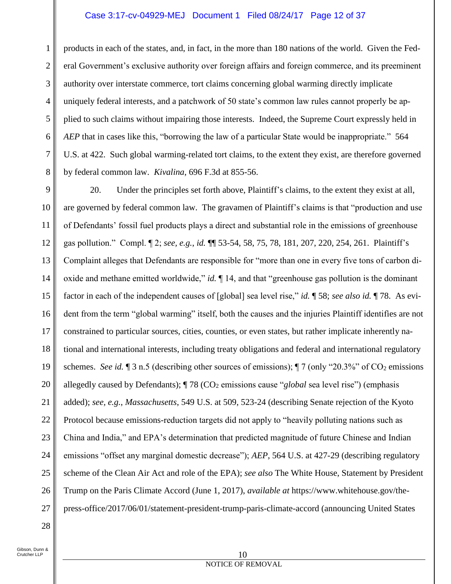## Case 3:17-cv-04929-MEJ Document 1 Filed 08/24/17 Page 12 of 37

products in each of the states, and, in fact, in the more than 180 nations of the world. Given the Federal Government's exclusive authority over foreign affairs and foreign commerce, and its preeminent authority over interstate commerce, tort claims concerning global warming directly implicate uniquely federal interests, and a patchwork of 50 state's common law rules cannot properly be applied to such claims without impairing those interests. Indeed, the Supreme Court expressly held in *AEP* that in cases like this, "borrowing the law of a particular State would be inappropriate." 564 U.S. at 422. Such global warming-related tort claims, to the extent they exist, are therefore governed by federal common law. *Kivalina*, 696 F.3d at 855-56.

9 10 11 12 13 14 15 16 17 18 19 20 21 22 23 24 25 26 27 20. Under the principles set forth above, Plaintiff's claims, to the extent they exist at all, are governed by federal common law. The gravamen of Plaintiff's claims is that "production and use of Defendants' fossil fuel products plays a direct and substantial role in the emissions of greenhouse gas pollution." Compl. ¶ 2; *see, e.g.*, *id.* ¶¶ 53-54, 58, 75, 78, 181, 207, 220, 254, 261. Plaintiff's Complaint alleges that Defendants are responsible for "more than one in every five tons of carbon dioxide and methane emitted worldwide," *id.* ¶ 14, and that "greenhouse gas pollution is the dominant factor in each of the independent causes of [global] sea level rise," *id.* ¶ 58; *see also id.* ¶ 78. As evident from the term "global warming" itself, both the causes and the injuries Plaintiff identifies are not constrained to particular sources, cities, counties, or even states, but rather implicate inherently national and international interests, including treaty obligations and federal and international regulatory schemes. *See id.*  $\sqrt{3}$  n.5 (describing other sources of emissions);  $\sqrt{7}$  (only "20.3%" of CO<sub>2</sub> emissions allegedly caused by Defendants);  $\P$  78 (CO<sub>2</sub> emissions cause "*global* sea level rise") (emphasis added); *see, e.g.*, *Massachusetts*, 549 U.S. at 509, 523-24 (describing Senate rejection of the Kyoto Protocol because emissions-reduction targets did not apply to "heavily polluting nations such as China and India," and EPA's determination that predicted magnitude of future Chinese and Indian emissions "offset any marginal domestic decrease"); *AEP*, 564 U.S. at 427-29 (describing regulatory scheme of the Clean Air Act and role of the EPA); *see also* The White House, Statement by President Trump on the Paris Climate Accord (June 1, 2017), *available at* https://www.whitehouse.gov/thepress-office/2017/06/01/statement-president-trump-paris-climate-accord (announcing United States

28

1

2

3

4

5

6

7

8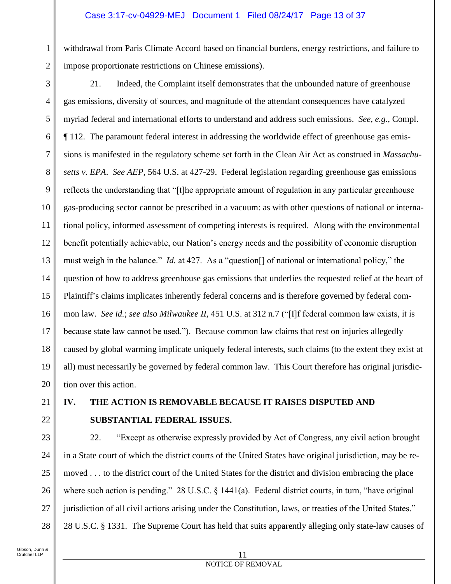## Case 3:17-cv-04929-MEJ Document 1 Filed 08/24/17 Page 13 of 37

withdrawal from Paris Climate Accord based on financial burdens, energy restrictions, and failure to impose proportionate restrictions on Chinese emissions).

3 4 5 6 7 8 9 10 11 12 13 14 15 16 17 18 19 20 21. Indeed, the Complaint itself demonstrates that the unbounded nature of greenhouse gas emissions, diversity of sources, and magnitude of the attendant consequences have catalyzed myriad federal and international efforts to understand and address such emissions. *See, e.g.*, Compl. ¶ 112. The paramount federal interest in addressing the worldwide effect of greenhouse gas emissions is manifested in the regulatory scheme set forth in the Clean Air Act as construed in *Massachusetts v. EPA*. *See AEP*, 564 U.S. at 427-29. Federal legislation regarding greenhouse gas emissions reflects the understanding that "[t]he appropriate amount of regulation in any particular greenhouse gas-producing sector cannot be prescribed in a vacuum: as with other questions of national or international policy, informed assessment of competing interests is required. Along with the environmental benefit potentially achievable, our Nation's energy needs and the possibility of economic disruption must weigh in the balance." *Id.* at 427. As a "question[] of national or international policy," the question of how to address greenhouse gas emissions that underlies the requested relief at the heart of Plaintiff's claims implicates inherently federal concerns and is therefore governed by federal common law. *See id.*; *see also Milwaukee II*, 451 U.S. at 312 n.7 ("[I]f federal common law exists, it is because state law cannot be used."). Because common law claims that rest on injuries allegedly caused by global warming implicate uniquely federal interests, such claims (to the extent they exist at all) must necessarily be governed by federal common law. This Court therefore has original jurisdiction over this action.

## 21 22

1

2

## **IV. THE ACTION IS REMOVABLE BECAUSE IT RAISES DISPUTED AND SUBSTANTIAL FEDERAL ISSUES.**

23 24 25 26 27 28 22. "Except as otherwise expressly provided by Act of Congress, any civil action brought in a State court of which the district courts of the United States have original jurisdiction, may be removed . . . to the district court of the United States for the district and division embracing the place where such action is pending." 28 U.S.C. § 1441(a). Federal district courts, in turn, "have original jurisdiction of all civil actions arising under the Constitution, laws, or treaties of the United States." 28 U.S.C. § 1331. The Supreme Court has held that suits apparently alleging only state-law causes of

#### 11 NOTICE OF REMOVAL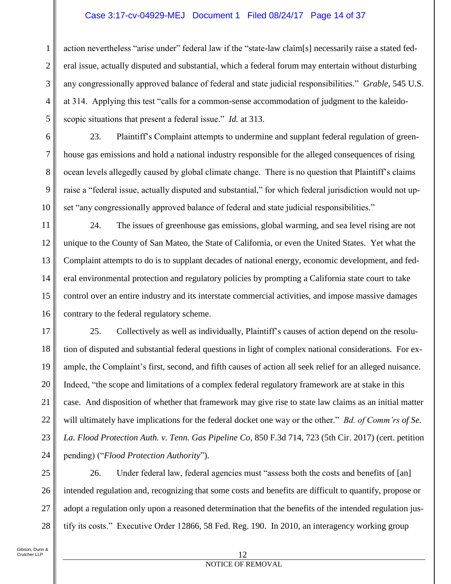## Case 3:17-cv-04929-MEJ Document 1 Filed 08/24/17 Page 14 of 37

action nevertheless "arise under" federal law if the "state-law claim[s] necessarily raise a stated federal issue, actually disputed and substantial, which a federal forum may entertain without disturbing any congressionally approved balance of federal and state judicial responsibilities." *Grable*, 545 U.S. at 314. Applying this test "calls for a common-sense accommodation of judgment to the kaleidoscopic situations that present a federal issue." *Id.* at 313.

23. Plaintiff's Complaint attempts to undermine and supplant federal regulation of greenhouse gas emissions and hold a national industry responsible for the alleged consequences of rising ocean levels allegedly caused by global climate change. There is no question that Plaintiff's claims raise a "federal issue, actually disputed and substantial," for which federal jurisdiction would not upset "any congressionally approved balance of federal and state judicial responsibilities."

24. The issues of greenhouse gas emissions, global warming, and sea level rising are not unique to the County of San Mateo, the State of California, or even the United States. Yet what the Complaint attempts to do is to supplant decades of national energy, economic development, and federal environmental protection and regulatory policies by prompting a California state court to take control over an entire industry and its interstate commercial activities, and impose massive damages contrary to the federal regulatory scheme.

17 18 19 20 21 22 23 24 25. Collectively as well as individually, Plaintiff's causes of action depend on the resolution of disputed and substantial federal questions in light of complex national considerations. For example, the Complaint's first, second, and fifth causes of action all seek relief for an alleged nuisance. Indeed, "the scope and limitations of a complex federal regulatory framework are at stake in this case. And disposition of whether that framework may give rise to state law claims as an initial matter will ultimately have implications for the federal docket one way or the other." *Bd. of Comm'rs of Se. La. Flood Protection Auth. v. Tenn. Gas Pipeline Co*, 850 F.3d 714, 723 (5th Cir. 2017) (cert. petition pending) ("*Flood Protection Authority*").

25 26 27 28 26. Under federal law, federal agencies must "assess both the costs and benefits of [an] intended regulation and, recognizing that some costs and benefits are difficult to quantify, propose or adopt a regulation only upon a reasoned determination that the benefits of the intended regulation justify its costs." Executive Order 12866, 58 Fed. Reg. 190. In 2010, an interagency working group

1

2

3

4

5

6

7

8

9

10

11

12

13

14

15

16

#### 12 NOTICE OF REMOVAL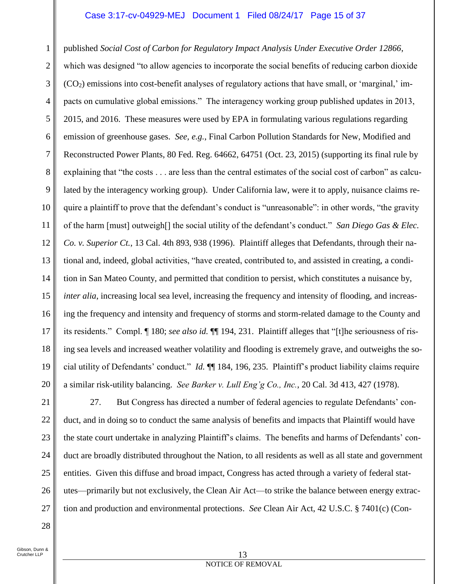### Case 3:17-cv-04929-MEJ Document 1 Filed 08/24/17 Page 15 of 37

1 2 3 4 5 6 7 8 9 10 11 12 13 14 15 16 17 18 19 published *Social Cost of Carbon for Regulatory Impact Analysis Under Executive Order 12866*, which was designed "to allow agencies to incorporate the social benefits of reducing carbon dioxide  $(CO<sub>2</sub>)$  emissions into cost-benefit analyses of regulatory actions that have small, or 'marginal,' impacts on cumulative global emissions." The interagency working group published updates in 2013, 2015, and 2016. These measures were used by EPA in formulating various regulations regarding emission of greenhouse gases. *See, e.g.*, Final Carbon Pollution Standards for New, Modified and Reconstructed Power Plants, 80 Fed. Reg. 64662, 64751 (Oct. 23, 2015) (supporting its final rule by explaining that "the costs . . . are less than the central estimates of the social cost of carbon" as calculated by the interagency working group). Under California law, were it to apply, nuisance claims require a plaintiff to prove that the defendant's conduct is "unreasonable": in other words, "the gravity of the harm [must] outweigh[] the social utility of the defendant's conduct." *San Diego Gas & Elec. Co. v. Superior Ct.*, 13 Cal. 4th 893, 938 (1996). Plaintiff alleges that Defendants, through their national and, indeed, global activities, "have created, contributed to, and assisted in creating, a condition in San Mateo County, and permitted that condition to persist, which constitutes a nuisance by, *inter alia*, increasing local sea level, increasing the frequency and intensity of flooding, and increasing the frequency and intensity and frequency of storms and storm-related damage to the County and its residents." Compl. ¶ 180; *see also id.* ¶¶ 194, 231. Plaintiff alleges that "[t]he seriousness of rising sea levels and increased weather volatility and flooding is extremely grave, and outweighs the social utility of Defendants' conduct." *Id.* ¶¶ 184, 196, 235. Plaintiff's product liability claims require a similar risk-utility balancing. *See Barker v. Lull Eng'g Co., Inc.*, 20 Cal. 3d 413, 427 (1978).

27. But Congress has directed a number of federal agencies to regulate Defendants' conduct, and in doing so to conduct the same analysis of benefits and impacts that Plaintiff would have the state court undertake in analyzing Plaintiff's claims. The benefits and harms of Defendants' conduct are broadly distributed throughout the Nation, to all residents as well as all state and government entities. Given this diffuse and broad impact, Congress has acted through a variety of federal statutes—primarily but not exclusively, the Clean Air Act—to strike the balance between energy extraction and production and environmental protections. *See* Clean Air Act, 42 U.S.C. § 7401(c) (Con-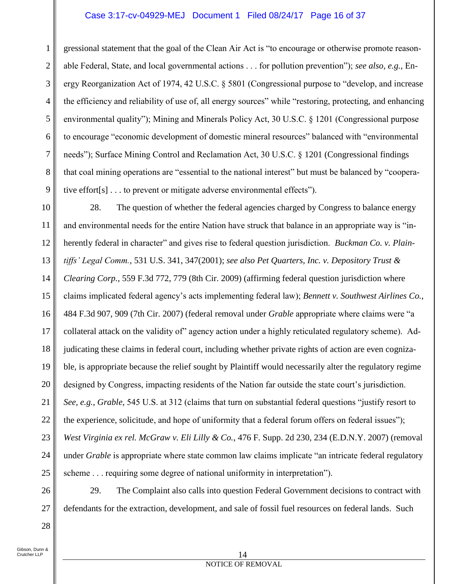## Case 3:17-cv-04929-MEJ Document 1 Filed 08/24/17 Page 16 of 37

gressional statement that the goal of the Clean Air Act is "to encourage or otherwise promote reasonable Federal, State, and local governmental actions . . . for pollution prevention"); *see also, e.g.*, Energy Reorganization Act of 1974, 42 U.S.C. § 5801 (Congressional purpose to "develop, and increase the efficiency and reliability of use of, all energy sources" while "restoring, protecting, and enhancing environmental quality"); Mining and Minerals Policy Act, 30 U.S.C. § 1201 (Congressional purpose to encourage "economic development of domestic mineral resources" balanced with "environmental needs"); Surface Mining Control and Reclamation Act, 30 U.S.C. § 1201 (Congressional findings that coal mining operations are "essential to the national interest" but must be balanced by "cooperative effort[s] . . . to prevent or mitigate adverse environmental effects").

10 11 12 13 14 15 16 17 18 19 20 21 22 23 24 25 28. The question of whether the federal agencies charged by Congress to balance energy and environmental needs for the entire Nation have struck that balance in an appropriate way is "inherently federal in character" and gives rise to federal question jurisdiction. *Buckman Co. v. Plaintiffs' Legal Comm.*, 531 U.S. 341, 347(2001); *see also Pet Quarters, Inc. v. Depository Trust & Clearing Corp.*, 559 F.3d 772, 779 (8th Cir. 2009) (affirming federal question jurisdiction where claims implicated federal agency's acts implementing federal law); *Bennett v. Southwest Airlines Co.*, 484 F.3d 907, 909 (7th Cir. 2007) (federal removal under *Grable* appropriate where claims were "a collateral attack on the validity of" agency action under a highly reticulated regulatory scheme). Adjudicating these claims in federal court, including whether private rights of action are even cognizable, is appropriate because the relief sought by Plaintiff would necessarily alter the regulatory regime designed by Congress, impacting residents of the Nation far outside the state court's jurisdiction. *See, e.g.*, *Grable*, 545 U.S. at 312 (claims that turn on substantial federal questions "justify resort to the experience, solicitude, and hope of uniformity that a federal forum offers on federal issues"); *West Virginia ex rel. McGraw v. Eli Lilly & Co.*, 476 F. Supp. 2d 230, 234 (E.D.N.Y. 2007) (removal under *Grable* is appropriate where state common law claims implicate "an intricate federal regulatory scheme . . . requiring some degree of national uniformity in interpretation").

29. The Complaint also calls into question Federal Government decisions to contract with defendants for the extraction, development, and sale of fossil fuel resources on federal lands. Such

Gibson, Dunn & Crutcher LLP

26

27

28

1

2

3

4

5

6

7

8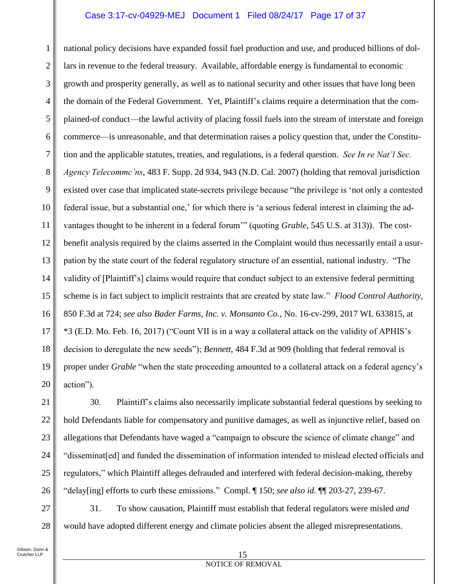## Case 3:17-cv-04929-MEJ Document 1 Filed 08/24/17 Page 17 of 37

1 2 3 4 5 6 7 8 9 10 11 12 13 14 15 16 17 18 19 20 national policy decisions have expanded fossil fuel production and use, and produced billions of dollars in revenue to the federal treasury. Available, affordable energy is fundamental to economic growth and prosperity generally, as well as to national security and other issues that have long been the domain of the Federal Government. Yet, Plaintiff's claims require a determination that the complained-of conduct—the lawful activity of placing fossil fuels into the stream of interstate and foreign commerce—is unreasonable, and that determination raises a policy question that, under the Constitution and the applicable statutes, treaties, and regulations, is a federal question. *See In re Nat'l Sec. Agency Telecommc'ns*, 483 F. Supp. 2d 934, 943 (N.D. Cal. 2007) (holding that removal jurisdiction existed over case that implicated state-secrets privilege because "the privilege is 'not only a contested federal issue, but a substantial one,' for which there is 'a serious federal interest in claiming the advantages thought to be inherent in a federal forum'" (quoting *Grable*, 545 U.S. at 313)). The costbenefit analysis required by the claims asserted in the Complaint would thus necessarily entail a usurpation by the state court of the federal regulatory structure of an essential, national industry. "The validity of [Plaintiff's] claims would require that conduct subject to an extensive federal permitting scheme is in fact subject to implicit restraints that are created by state law." *Flood Control Authority*, 850 F.3d at 724; *see also Bader Farms, Inc. v. Monsanto Co.*, No. 16-cv-299, 2017 WL 633815, at \*3 (E.D. Mo. Feb. 16, 2017) ("Count VII is in a way a collateral attack on the validity of APHIS's decision to deregulate the new seeds"); *Bennett*, 484 F.3d at 909 (holding that federal removal is proper under *Grable* "when the state proceeding amounted to a collateral attack on a federal agency's action").

30. Plaintiff's claims also necessarily implicate substantial federal questions by seeking to hold Defendants liable for compensatory and punitive damages, as well as injunctive relief, based on allegations that Defendants have waged a "campaign to obscure the science of climate change" and "disseminat[ed] and funded the dissemination of information intended to mislead elected officials and regulators," which Plaintiff alleges defrauded and interfered with federal decision-making, thereby "delay[ing] efforts to curb these emissions." Compl. ¶ 150; *see also id.* ¶¶ 203-27, 239-67.

31. To show causation, Plaintiff must establish that federal regulators were misled *and*  would have adopted different energy and climate policies absent the alleged misrepresentations.

#### 15 NOTICE OF REMOVAL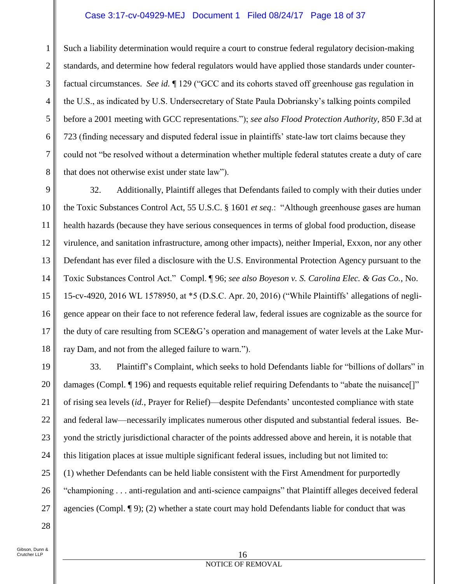## Case 3:17-cv-04929-MEJ Document 1 Filed 08/24/17 Page 18 of 37

Such a liability determination would require a court to construe federal regulatory decision-making standards, and determine how federal regulators would have applied those standards under counterfactual circumstances. *See id.* ¶ 129 ("GCC and its cohorts staved off greenhouse gas regulation in the U.S., as indicated by U.S. Undersecretary of State Paula Dobriansky's talking points compiled before a 2001 meeting with GCC representations."); *see also Flood Protection Authority*, 850 F.3d at 723 (finding necessary and disputed federal issue in plaintiffs' state-law tort claims because they could not "be resolved without a determination whether multiple federal statutes create a duty of care that does not otherwise exist under state law").

9 10 11 12 13 14 15 16 17 18 32. Additionally, Plaintiff alleges that Defendants failed to comply with their duties under the Toxic Substances Control Act, 55 U.S.C. § 1601 *et seq*.: "Although greenhouse gases are human health hazards (because they have serious consequences in terms of global food production, disease virulence, and sanitation infrastructure, among other impacts), neither Imperial, Exxon, nor any other Defendant has ever filed a disclosure with the U.S. Environmental Protection Agency pursuant to the Toxic Substances Control Act." Compl. ¶ 96; *see also Boyeson v. S. Carolina Elec. & Gas Co.*, No. 15-cv-4920, 2016 WL 1578950, at \*5 (D.S.C. Apr. 20, 2016) ("While Plaintiffs' allegations of negligence appear on their face to not reference federal law, federal issues are cognizable as the source for the duty of care resulting from SCE&G's operation and management of water levels at the Lake Murray Dam, and not from the alleged failure to warn.").

19 20 21 22 23 24 25 26 27 33. Plaintiff's Complaint, which seeks to hold Defendants liable for "billions of dollars" in damages (Compl. ¶ 196) and requests equitable relief requiring Defendants to "abate the nuisance[]" of rising sea levels (*id.*, Prayer for Relief)—despite Defendants' uncontested compliance with state and federal law—necessarily implicates numerous other disputed and substantial federal issues. Beyond the strictly jurisdictional character of the points addressed above and herein, it is notable that this litigation places at issue multiple significant federal issues, including but not limited to: (1) whether Defendants can be held liable consistent with the First Amendment for purportedly "championing . . . anti-regulation and anti-science campaigns" that Plaintiff alleges deceived federal agencies (Compl. ¶ 9); (2) whether a state court may hold Defendants liable for conduct that was

28

1

2

3

4

5

6

7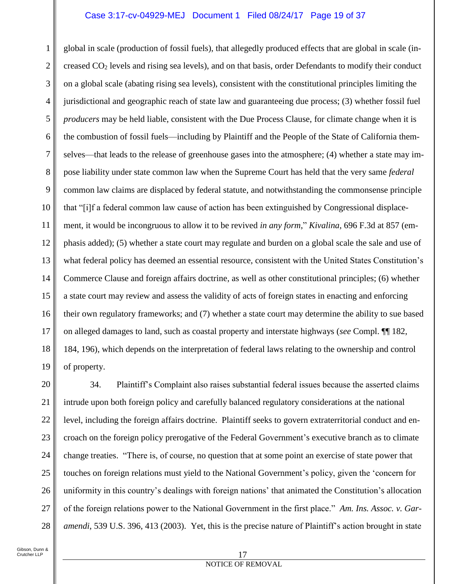### Case 3:17-cv-04929-MEJ Document 1 Filed 08/24/17 Page 19 of 37

1 2 3 4 5 6 7 8 9 10 11 12 13 14 15 16 17 18 19 global in scale (production of fossil fuels), that allegedly produced effects that are global in scale (increased CO<sup>2</sup> levels and rising sea levels), and on that basis, order Defendants to modify their conduct on a global scale (abating rising sea levels), consistent with the constitutional principles limiting the jurisdictional and geographic reach of state law and guaranteeing due process; (3) whether fossil fuel *producers* may be held liable, consistent with the Due Process Clause, for climate change when it is the combustion of fossil fuels—including by Plaintiff and the People of the State of California themselves—that leads to the release of greenhouse gases into the atmosphere; (4) whether a state may impose liability under state common law when the Supreme Court has held that the very same *federal*  common law claims are displaced by federal statute, and notwithstanding the commonsense principle that "[i]f a federal common law cause of action has been extinguished by Congressional displacement, it would be incongruous to allow it to be revived *in any form*," *Kivalina*, 696 F.3d at 857 (emphasis added); (5) whether a state court may regulate and burden on a global scale the sale and use of what federal policy has deemed an essential resource, consistent with the United States Constitution's Commerce Clause and foreign affairs doctrine, as well as other constitutional principles; (6) whether a state court may review and assess the validity of acts of foreign states in enacting and enforcing their own regulatory frameworks; and (7) whether a state court may determine the ability to sue based on alleged damages to land, such as coastal property and interstate highways (*see* Compl. ¶¶ 182, 184, 196), which depends on the interpretation of federal laws relating to the ownership and control of property.

20 21 22 23 24 25 26 27 28 34. Plaintiff's Complaint also raises substantial federal issues because the asserted claims intrude upon both foreign policy and carefully balanced regulatory considerations at the national level, including the foreign affairs doctrine. Plaintiff seeks to govern extraterritorial conduct and encroach on the foreign policy prerogative of the Federal Government's executive branch as to climate change treaties. "There is, of course, no question that at some point an exercise of state power that touches on foreign relations must yield to the National Government's policy, given the 'concern for uniformity in this country's dealings with foreign nations' that animated the Constitution's allocation of the foreign relations power to the National Government in the first place." *Am. Ins. Assoc. v. Garamendi*, 539 U.S. 396, 413 (2003). Yet, this is the precise nature of Plaintiff's action brought in state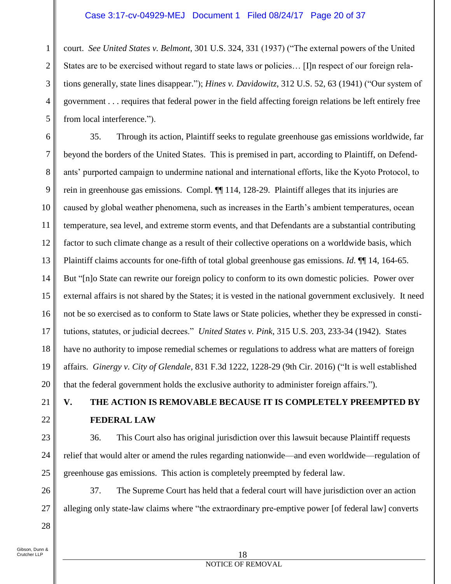## Case 3:17-cv-04929-MEJ Document 1 Filed 08/24/17 Page 20 of 37

1 2 3 4 5 court. *See United States v. Belmont*, 301 U.S. 324, 331 (1937) ("The external powers of the United States are to be exercised without regard to state laws or policies… [I]n respect of our foreign relations generally, state lines disappear."); *Hines v. Davidowitz*, 312 U.S. 52, 63 (1941) ("Our system of government . . . requires that federal power in the field affecting foreign relations be left entirely free from local interference.").

6 7 8 9 10 11 12 13 14 15 16 17 18 19 20 35. Through its action, Plaintiff seeks to regulate greenhouse gas emissions worldwide, far beyond the borders of the United States. This is premised in part, according to Plaintiff, on Defendants' purported campaign to undermine national and international efforts, like the Kyoto Protocol, to rein in greenhouse gas emissions. Compl. ¶¶ 114, 128-29. Plaintiff alleges that its injuries are caused by global weather phenomena, such as increases in the Earth's ambient temperatures, ocean temperature, sea level, and extreme storm events, and that Defendants are a substantial contributing factor to such climate change as a result of their collective operations on a worldwide basis, which Plaintiff claims accounts for one-fifth of total global greenhouse gas emissions. *Id*. ¶¶ 14, 164-65. But "[n]o State can rewrite our foreign policy to conform to its own domestic policies. Power over external affairs is not shared by the States; it is vested in the national government exclusively. It need not be so exercised as to conform to State laws or State policies, whether they be expressed in constitutions, statutes, or judicial decrees." *United States v. Pink*, 315 U.S. 203, 233-34 (1942). States have no authority to impose remedial schemes or regulations to address what are matters of foreign affairs. *Ginergy v. City of Glendale*, 831 F.3d 1222, 1228-29 (9th Cir. 2016) ("It is well established that the federal government holds the exclusive authority to administer foreign affairs.").

# **V. THE ACTION IS REMOVABLE BECAUSE IT IS COMPLETELY PREEMPTED BY FEDERAL LAW**

36. This Court also has original jurisdiction over this lawsuit because Plaintiff requests relief that would alter or amend the rules regarding nationwide—and even worldwide—regulation of greenhouse gas emissions. This action is completely preempted by federal law.

37. The Supreme Court has held that a federal court will have jurisdiction over an action alleging only state-law claims where "the extraordinary pre-emptive power [of federal law] converts

Gibson, Dunn & Crutcher LLP

21

22

23

24

25

26

27

28

#### 18 NOTICE OF REMOVAL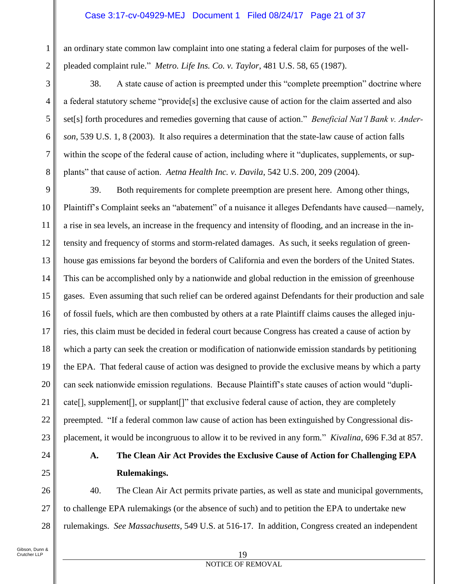## Case 3:17-cv-04929-MEJ Document 1 Filed 08/24/17 Page 21 of 37

an ordinary state common law complaint into one stating a federal claim for purposes of the wellpleaded complaint rule." *Metro. Life Ins. Co. v. Taylor*, 481 U.S. 58, 65 (1987).

38. A state cause of action is preempted under this "complete preemption" doctrine where a federal statutory scheme "provide[s] the exclusive cause of action for the claim asserted and also set[s] forth procedures and remedies governing that cause of action." *Beneficial Nat'l Bank v. Anderson*, 539 U.S. 1, 8 (2003). It also requires a determination that the state-law cause of action falls within the scope of the federal cause of action, including where it "duplicates, supplements, or supplants" that cause of action. *Aetna Health Inc. v. Davila*, 542 U.S. 200, 209 (2004).

9 10 11 12 13 14 15 16 17 18 19 20 21 22 23 39. Both requirements for complete preemption are present here. Among other things, Plaintiff's Complaint seeks an "abatement" of a nuisance it alleges Defendants have caused—namely, a rise in sea levels, an increase in the frequency and intensity of flooding, and an increase in the intensity and frequency of storms and storm-related damages. As such, it seeks regulation of greenhouse gas emissions far beyond the borders of California and even the borders of the United States. This can be accomplished only by a nationwide and global reduction in the emission of greenhouse gases. Even assuming that such relief can be ordered against Defendants for their production and sale of fossil fuels, which are then combusted by others at a rate Plaintiff claims causes the alleged injuries, this claim must be decided in federal court because Congress has created a cause of action by which a party can seek the creation or modification of nationwide emission standards by petitioning the EPA. That federal cause of action was designed to provide the exclusive means by which a party can seek nationwide emission regulations. Because Plaintiff's state causes of action would "duplicate[], supplement[], or supplant[]" that exclusive federal cause of action, they are completely preempted. "If a federal common law cause of action has been extinguished by Congressional displacement, it would be incongruous to allow it to be revived in any form*.*" *Kivalina*, 696 F.3d at 857.

24 25

26

27

28

1

2

3

4

5

6

7

8

## **A. The Clean Air Act Provides the Exclusive Cause of Action for Challenging EPA Rulemakings.**

40. The Clean Air Act permits private parties, as well as state and municipal governments, to challenge EPA rulemakings (or the absence of such) and to petition the EPA to undertake new rulemakings. *See Massachusetts*, 549 U.S. at 516-17. In addition, Congress created an independent

#### 19 NOTICE OF REMOVAL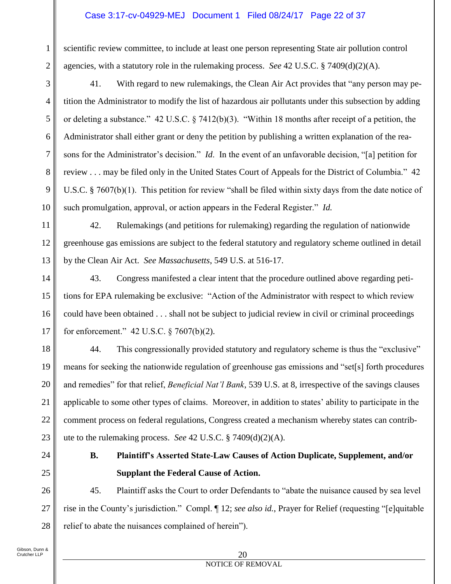## Case 3:17-cv-04929-MEJ Document 1 Filed 08/24/17 Page 22 of 37

scientific review committee, to include at least one person representing State air pollution control agencies, with a statutory role in the rulemaking process. *See* 42 U.S.C. § 7409(d)(2)(A).

41. With regard to new rulemakings, the Clean Air Act provides that "any person may petition the Administrator to modify the list of hazardous air pollutants under this subsection by adding or deleting a substance." 42 U.S.C. § 7412(b)(3). "Within 18 months after receipt of a petition, the Administrator shall either grant or deny the petition by publishing a written explanation of the reasons for the Administrator's decision." *Id*. In the event of an unfavorable decision, "[a] petition for review . . . may be filed only in the United States Court of Appeals for the District of Columbia." 42 U.S.C. § 7607(b)(1). This petition for review "shall be filed within sixty days from the date notice of such promulgation, approval, or action appears in the Federal Register." *Id.*

42. Rulemakings (and petitions for rulemaking) regarding the regulation of nationwide greenhouse gas emissions are subject to the federal statutory and regulatory scheme outlined in detail by the Clean Air Act. *See Massachusetts*, 549 U.S. at 516-17.

16 43. Congress manifested a clear intent that the procedure outlined above regarding petitions for EPA rulemaking be exclusive: "Action of the Administrator with respect to which review could have been obtained . . . shall not be subject to judicial review in civil or criminal proceedings for enforcement." 42 U.S.C. § 7607(b)(2).

18 19 20 21 22 23 44. This congressionally provided statutory and regulatory scheme is thus the "exclusive" means for seeking the nationwide regulation of greenhouse gas emissions and "set[s] forth procedures and remedies" for that relief, *Beneficial Nat'l Bank*, 539 U.S. at 8, irrespective of the savings clauses applicable to some other types of claims. Moreover, in addition to states' ability to participate in the comment process on federal regulations, Congress created a mechanism whereby states can contribute to the rulemaking process. *See* 42 U.S.C. § 7409(d)(2)(A).

- 
- 25

26

27

28

24

1

2

3

4

5

6

7

8

9

10

11

12

13

14

15

17

## **B. Plaintiff's Asserted State-Law Causes of Action Duplicate, Supplement, and/or Supplant the Federal Cause of Action.**

45. Plaintiff asks the Court to order Defendants to "abate the nuisance caused by sea level rise in the County's jurisdiction." Compl. ¶ 12; *see also id.*, Prayer for Relief (requesting "[e]quitable relief to abate the nuisances complained of herein").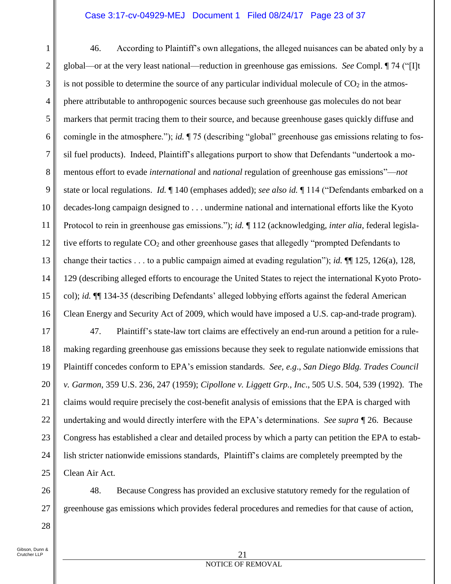## Case 3:17-cv-04929-MEJ Document 1 Filed 08/24/17 Page 23 of 37

1 2 3 4 5 6 7 8 9 10 11 12 13 14 15 16 46. According to Plaintiff's own allegations, the alleged nuisances can be abated only by a global—or at the very least national—reduction in greenhouse gas emissions. *See* Compl. ¶ 74 ("[I]t is not possible to determine the source of any particular individual molecule of  $CO<sub>2</sub>$  in the atmosphere attributable to anthropogenic sources because such greenhouse gas molecules do not bear markers that permit tracing them to their source, and because greenhouse gases quickly diffuse and comingle in the atmosphere."); *id.* ¶ 75 (describing "global" greenhouse gas emissions relating to fossil fuel products). Indeed, Plaintiff's allegations purport to show that Defendants "undertook a momentous effort to evade *international* and *national* regulation of greenhouse gas emissions"—*not*  state or local regulations. *Id.* ¶ 140 (emphases added); *see also id.* ¶ 114 ("Defendants embarked on a decades-long campaign designed to . . . undermine national and international efforts like the Kyoto Protocol to rein in greenhouse gas emissions."); *id.* ¶ 112 (acknowledging, *inter alia*, federal legislative efforts to regulate  $CO<sub>2</sub>$  and other greenhouse gases that allegedly "prompted Defendants to change their tactics . . . to a public campaign aimed at evading regulation"); *id.* ¶¶ 125, 126(a), 128, 129 (describing alleged efforts to encourage the United States to reject the international Kyoto Protocol); *id.* ¶¶ 134-35 (describing Defendants' alleged lobbying efforts against the federal American Clean Energy and Security Act of 2009, which would have imposed a U.S. cap-and-trade program).

17 18 19 20 21 22 23 24 25 47. Plaintiff's state-law tort claims are effectively an end-run around a petition for a rulemaking regarding greenhouse gas emissions because they seek to regulate nationwide emissions that Plaintiff concedes conform to EPA's emission standards. *See, e.g*., *San Diego Bldg. Trades Council v. Garmon*, 359 U.S. 236, 247 (1959); *Cipollone v. Liggett Grp., Inc*., 505 U.S. 504, 539 (1992). The claims would require precisely the cost-benefit analysis of emissions that the EPA is charged with undertaking and would directly interfere with the EPA's determinations. *See supra ¶* 26. Because Congress has established a clear and detailed process by which a party can petition the EPA to establish stricter nationwide emissions standards, Plaintiff's claims are completely preempted by the Clean Air Act.

48. Because Congress has provided an exclusive statutory remedy for the regulation of greenhouse gas emissions which provides federal procedures and remedies for that cause of action,

Gibson, Dunn & Crutcher LLP

26

27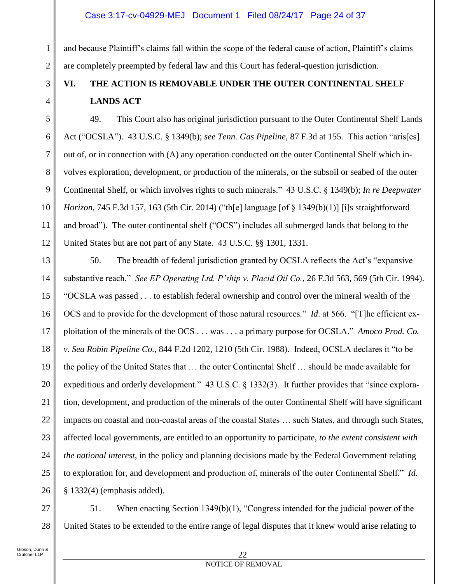## Case 3:17-cv-04929-MEJ Document 1 Filed 08/24/17 Page 24 of 37

and because Plaintiff's claims fall within the scope of the federal cause of action, Plaintiff's claims are completely preempted by federal law and this Court has federal-question jurisdiction.

## **VI. THE ACTION IS REMOVABLE UNDER THE OUTER CONTINENTAL SHELF LANDS ACT**

12 49. This Court also has original jurisdiction pursuant to the Outer Continental Shelf Lands Act ("OCSLA"). 43 U.S.C. § 1349(b); *see Tenn. Gas Pipeline*, 87 F.3d at 155. This action "aris[es] out of, or in connection with (A) any operation conducted on the outer Continental Shelf which involves exploration, development, or production of the minerals, or the subsoil or seabed of the outer Continental Shelf, or which involves rights to such minerals." 43 U.S.C. § 1349(b); *In re Deepwater Horizon*, 745 F.3d 157, 163 (5th Cir. 2014) ("th[e] language [of § 1349(b)(1)] [i]s straightforward and broad")*.* The outer continental shelf ("OCS") includes all submerged lands that belong to the United States but are not part of any State. 43 U.S.C. §§ 1301, 1331.

13 14 15 16 17 18 19 20 21 22 23 24 25 26 50. The breadth of federal jurisdiction granted by OCSLA reflects the Act's "expansive substantive reach." *See EP Operating Ltd. P'ship v. Placid Oil Co.*, 26 F.3d 563, 569 (5th Cir. 1994). "OCSLA was passed . . . to establish federal ownership and control over the mineral wealth of the OCS and to provide for the development of those natural resources." *Id*. at 566. "[T]he efficient exploitation of the minerals of the OCS . . . was . . . a primary purpose for OCSLA." *Amoco Prod. Co. v. Sea Robin Pipeline Co.*, 844 F.2d 1202, 1210 (5th Cir. 1988). Indeed, OCSLA declares it "to be the policy of the United States that … the outer Continental Shelf … should be made available for expeditious and orderly development." 43 U.S.C. § 1332(3). It further provides that "since exploration, development, and production of the minerals of the outer Continental Shelf will have significant impacts on coastal and non-coastal areas of the coastal States … such States, and through such States, affected local governments, are entitled to an opportunity to participate, *to the extent consistent with the national interest*, in the policy and planning decisions made by the Federal Government relating to exploration for, and development and production of, minerals of the outer Continental Shelf." *Id.* § 1332(4) (emphasis added).

27 28 51. When enacting Section 1349(b)(1), "Congress intended for the judicial power of the United States to be extended to the entire range of legal disputes that it knew would arise relating to

1

2

3

4

5

6

7

8

9

10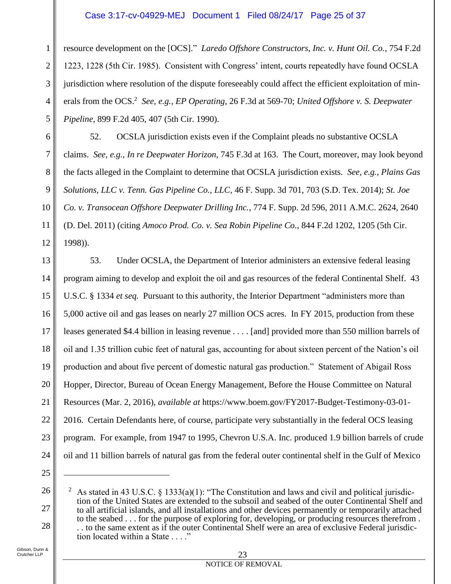## Case 3:17-cv-04929-MEJ Document 1 Filed 08/24/17 Page 25 of 37

1 2 3 4 5 resource development on the [OCS]." *Laredo Offshore Constructors, Inc. v. Hunt Oil. Co.*, 754 F.2d 1223, 1228 (5th Cir. 1985). Consistent with Congress' intent, courts repeatedly have found OCSLA jurisdiction where resolution of the dispute foreseeably could affect the efficient exploitation of minerals from the OCS.<sup>2</sup> See, e.g., *EP Operating*, 26 F.3d at 569-70; *United Offshore v. S. Deepwater Pipeline*, 899 F.2d 405, 407 (5th Cir. 1990).

52. OCSLA jurisdiction exists even if the Complaint pleads no substantive OCSLA claims. *See, e.g.*, *In re Deepwater Horizon*, 745 F.3d at 163. The Court, moreover, may look beyond the facts alleged in the Complaint to determine that OCSLA jurisdiction exists. *See, e.g.*, *Plains Gas Solutions, LLC v. Tenn. Gas Pipeline Co., LLC*, 46 F. Supp. 3d 701, 703 (S.D. Tex. 2014); *St. Joe Co. v. Transocean Offshore Deepwater Drilling Inc.*, 774 F. Supp. 2d 596, 2011 A.M.C. 2624, 2640 (D. Del. 2011) (citing *Amoco Prod. Co. v. Sea Robin Pipeline Co.*, 844 F.2d 1202, 1205 (5th Cir. 1998)).

13 14 15 16 17 18 19 20 21 22 23 24 53. Under OCSLA, the Department of Interior administers an extensive federal leasing program aiming to develop and exploit the oil and gas resources of the federal Continental Shelf. 43 U.S.C. § 1334 *et seq.* Pursuant to this authority, the Interior Department "administers more than 5,000 active oil and gas leases on nearly 27 million OCS acres. In FY 2015, production from these leases generated \$4.4 billion in leasing revenue . . . . [and] provided more than 550 million barrels of oil and 1.35 trillion cubic feet of natural gas, accounting for about sixteen percent of the Nation's oil production and about five percent of domestic natural gas production." Statement of Abigail Ross Hopper, Director, Bureau of Ocean Energy Management, Before the House Committee on Natural Resources (Mar. 2, 2016), *available at* https://www.boem.gov/FY2017-Budget-Testimony-03-01- 2016. Certain Defendants here, of course, participate very substantially in the federal OCS leasing program. For example, from 1947 to 1995, Chevron U.S.A. Inc. produced 1.9 billion barrels of crude oil and 11 billion barrels of natural gas from the federal outer continental shelf in the Gulf of Mexico

25

 $\overline{a}$ 

26

27

28

6

7

8

9

10

11

12

#### 23 NOTICE OF REMOVAL

As stated in 43 U.S.C. § 1333(a)(1): "The Constitution and laws and civil and political jurisdiction of the United States are extended to the subsoil and seabed of the outer Continental Shelf and to all artificial islands, and all installations and other devices permanently or temporarily attached to the seabed . . . for the purpose of exploring for, developing, or producing resources therefrom . . . to the same extent as if the outer Continental Shelf were an area of exclusive Federal jurisdiction located within a State . . . ."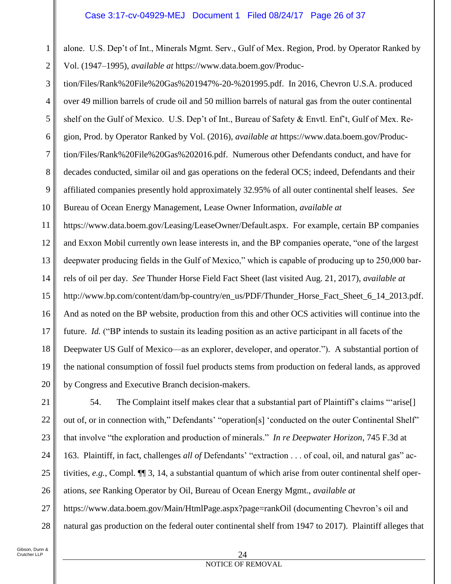### Case 3:17-cv-04929-MEJ Document 1 Filed 08/24/17 Page 26 of 37

1 2 alone. U.S. Dep't of Int., Minerals Mgmt. Serv., Gulf of Mex. Region, Prod. by Operator Ranked by Vol. (1947–1995), *available at* https://www.data.boem.gov/Produc-

3 4 5 6 7 8 9 10 tion/Files/Rank%20File%20Gas%201947%-20-%201995.pdf. In 2016, Chevron U.S.A. produced over 49 million barrels of crude oil and 50 million barrels of natural gas from the outer continental shelf on the Gulf of Mexico. U.S. Dep't of Int., Bureau of Safety & Envtl. Enf't, Gulf of Mex. Region, Prod. by Operator Ranked by Vol. (2016), *available at* https://www.data.boem.gov/Production/Files/Rank%20File%20Gas%202016.pdf. Numerous other Defendants conduct, and have for decades conducted, similar oil and gas operations on the federal OCS; indeed, Defendants and their affiliated companies presently hold approximately 32.95% of all outer continental shelf leases. *See*  Bureau of Ocean Energy Management, Lease Owner Information, *available at*

11 12 13 14 15 16 17 18 19 20 [https://www.data.boem.gov/Leasing/LeaseOwner/Default.aspx.](https://www.data.boem.gov/Leasing/LeaseOwner/Default.aspx) For example, certain BP companies and Exxon Mobil currently own lease interests in, and the BP companies operate, "one of the largest deepwater producing fields in the Gulf of Mexico," which is capable of producing up to 250,000 barrels of oil per day. *See* Thunder Horse Field Fact Sheet (last visited Aug. 21, 2017), *available at*  [http://www.bp.com/content/dam/bp-country/en\\_us/PDF/Thunder\\_Horse\\_Fact\\_Sheet\\_6\\_14\\_2013.pdf.](www.bp.com/content/dam/bp-country/en_us/PDF/Thunder_Horse_Fact_Sheet_6_14_2013.pdf) And as noted on the BP website, production from this and other OCS activities will continue into the future. *Id.* ("BP intends to sustain its leading position as an active participant in all facets of the Deepwater US Gulf of Mexico—as an explorer, developer, and operator."). A substantial portion of the national consumption of fossil fuel products stems from production on federal lands, as approved by Congress and Executive Branch decision-makers.

21 22 23 24 25 26 27 28 54. The Complaint itself makes clear that a substantial part of Plaintiff's claims "'arise[] out of, or in connection with," Defendants' "operation[s] 'conducted on the outer Continental Shelf" that involve "the exploration and production of minerals." *In re Deepwater Horizon*, 745 F.3d at 163. Plaintiff, in fact, challenges *all of* Defendants' "extraction . . . of coal, oil, and natural gas" activities, *e.g.*, Compl. ¶¶ 3, 14, a substantial quantum of which arise from outer continental shelf operations, *see* Ranking Operator by Oil, Bureau of Ocean Energy Mgmt., *available at*  <https://www.data.boem.gov/Main/HtmlPage.aspx?page=rankOil> (documenting Chevron's oil and natural gas production on the federal outer continental shelf from 1947 to 2017). Plaintiff alleges that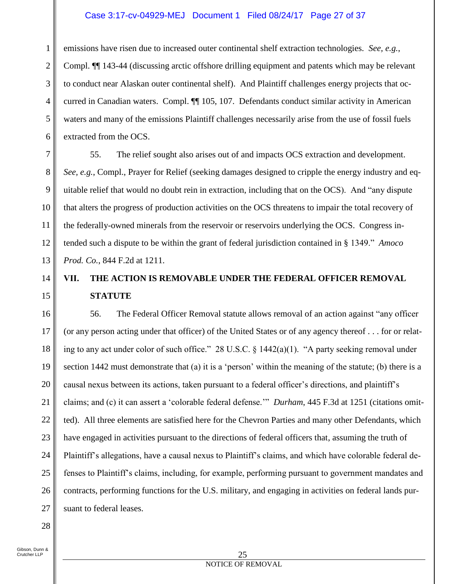## Case 3:17-cv-04929-MEJ Document 1 Filed 08/24/17 Page 27 of 37

1 2 3 4 5 6 emissions have risen due to increased outer continental shelf extraction technologies. *See, e.g.*, Compl. ¶¶ 143-44 (discussing arctic offshore drilling equipment and patents which may be relevant to conduct near Alaskan outer continental shelf). And Plaintiff challenges energy projects that occurred in Canadian waters. Compl. ¶¶ 105, 107. Defendants conduct similar activity in American waters and many of the emissions Plaintiff challenges necessarily arise from the use of fossil fuels extracted from the OCS.

55. The relief sought also arises out of and impacts OCS extraction and development. *See, e.g.*, Compl., Prayer for Relief (seeking damages designed to cripple the energy industry and equitable relief that would no doubt rein in extraction, including that on the OCS). And "any dispute that alters the progress of production activities on the OCS threatens to impair the total recovery of the federally-owned minerals from the reservoir or reservoirs underlying the OCS. Congress intended such a dispute to be within the grant of federal jurisdiction contained in § 1349." *Amoco Prod. Co.*, 844 F.2d at 1211.

## **VII. THE ACTION IS REMOVABLE UNDER THE FEDERAL OFFICER REMOVAL STATUTE**

16 17 18 19 20 21 22 23 24 25 26 27 56. The Federal Officer Removal statute allows removal of an action against "any officer (or any person acting under that officer) of the United States or of any agency thereof . . . for or relating to any act under color of such office." 28 U.S.C. § 1442(a)(1). "A party seeking removal under section 1442 must demonstrate that (a) it is a 'person' within the meaning of the statute; (b) there is a causal nexus between its actions, taken pursuant to a federal officer's directions, and plaintiff's claims; and (c) it can assert a 'colorable federal defense.'" *Durham*, 445 F.3d at 1251 (citations omitted). All three elements are satisfied here for the Chevron Parties and many other Defendants, which have engaged in activities pursuant to the directions of federal officers that, assuming the truth of Plaintiff's allegations, have a causal nexus to Plaintiff's claims, and which have colorable federal defenses to Plaintiff's claims, including, for example, performing pursuant to government mandates and contracts, performing functions for the U.S. military, and engaging in activities on federal lands pursuant to federal leases.

28

7

8

9

10

11

12

13

14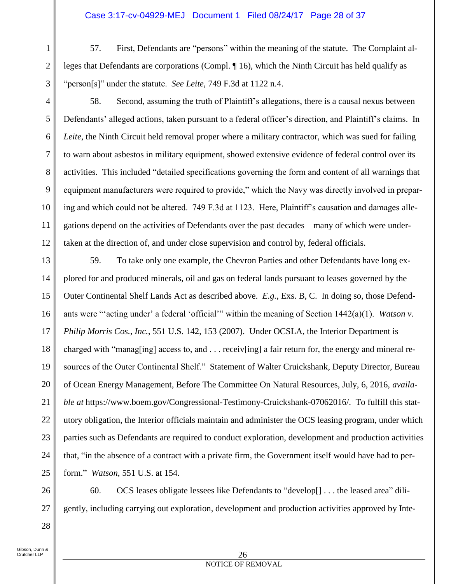## Case 3:17-cv-04929-MEJ Document 1 Filed 08/24/17 Page 28 of 37

57. First, Defendants are "persons" within the meaning of the statute. The Complaint alleges that Defendants are corporations (Compl. ¶ 16), which the Ninth Circuit has held qualify as "person[s]" under the statute. *See Leite*, 749 F.3d at 1122 n.4.

3

1

2

4

5

6

7

8

9

10

11

12

58. Second, assuming the truth of Plaintiff's allegations, there is a causal nexus between Defendants' alleged actions, taken pursuant to a federal officer's direction, and Plaintiff's claims. In *Leite*, the Ninth Circuit held removal proper where a military contractor, which was sued for failing to warn about asbestos in military equipment, showed extensive evidence of federal control over its activities. This included "detailed specifications governing the form and content of all warnings that equipment manufacturers were required to provide," which the Navy was directly involved in preparing and which could not be altered. 749 F.3d at 1123. Here, Plaintiff's causation and damages allegations depend on the activities of Defendants over the past decades—many of which were undertaken at the direction of, and under close supervision and control by, federal officials.

13 14 15 16 17 18 19 20 21 22 23 24 25 59. To take only one example, the Chevron Parties and other Defendants have long explored for and produced minerals, oil and gas on federal lands pursuant to leases governed by the Outer Continental Shelf Lands Act as described above. *E.g.*, Exs. B, C. In doing so, those Defendants were "'acting under' a federal 'official'" within the meaning of Section 1442(a)(1). *Watson v. Philip Morris Cos., Inc.*, 551 U.S. 142, 153 (2007). Under OCSLA, the Interior Department is charged with "manag[ing] access to, and  $\dots$  receiv[ing] a fair return for, the energy and mineral resources of the Outer Continental Shelf." Statement of Walter Cruickshank, Deputy Director, Bureau of Ocean Energy Management, Before The Committee On Natural Resources, July, 6, 2016, *available at* https://www.boem.gov/Congressional-Testimony-Cruickshank-07062016/. To fulfill this statutory obligation, the Interior officials maintain and administer the OCS leasing program, under which parties such as Defendants are required to conduct exploration, development and production activities that, "in the absence of a contract with a private firm, the Government itself would have had to perform." *Watson*, 551 U.S. at 154.

60. OCS leases obligate lessees like Defendants to "develop[] . . . the leased area" diligently, including carrying out exploration, development and production activities approved by Inte-

Gibson, Dunn & Crutcher LLP

26

27

28

#### 26 NOTICE OF REMOVAL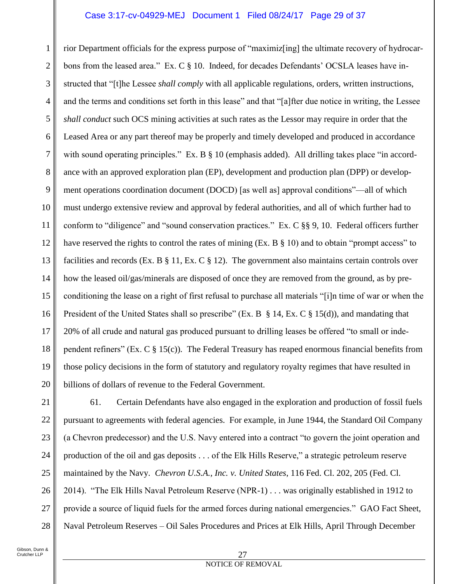## Case 3:17-cv-04929-MEJ Document 1 Filed 08/24/17 Page 29 of 37

1 2 3 4 5 6 7 8 9 10 11 12 13 14 15 16 17 18 19 20 rior Department officials for the express purpose of "maximiz[ing] the ultimate recovery of hydrocarbons from the leased area." Ex. C § 10. Indeed, for decades Defendants' OCSLA leases have instructed that "[t]he Lessee *shall comply* with all applicable regulations, orders, written instructions, and the terms and conditions set forth in this lease" and that "[a]fter due notice in writing, the Lessee *shall conduct* such OCS mining activities at such rates as the Lessor may require in order that the Leased Area or any part thereof may be properly and timely developed and produced in accordance with sound operating principles." Ex. B  $\S$  10 (emphasis added). All drilling takes place "in accordance with an approved exploration plan (EP), development and production plan (DPP) or development operations coordination document (DOCD) [as well as] approval conditions"—all of which must undergo extensive review and approval by federal authorities, and all of which further had to conform to "diligence" and "sound conservation practices." Ex. C §§ 9, 10. Federal officers further have reserved the rights to control the rates of mining (Ex. B § 10) and to obtain "prompt access" to facilities and records (Ex. B § 11, Ex. C § 12). The government also maintains certain controls over how the leased oil/gas/minerals are disposed of once they are removed from the ground, as by preconditioning the lease on a right of first refusal to purchase all materials "[i]n time of war or when the President of the United States shall so prescribe" (Ex. B § 14, Ex. C § 15(d)), and mandating that 20% of all crude and natural gas produced pursuant to drilling leases be offered "to small or independent refiners" (Ex. C § 15(c)). The Federal Treasury has reaped enormous financial benefits from those policy decisions in the form of statutory and regulatory royalty regimes that have resulted in billions of dollars of revenue to the Federal Government.

27

28

61. Certain Defendants have also engaged in the exploration and production of fossil fuels pursuant to agreements with federal agencies. For example, in June 1944, the Standard Oil Company (a Chevron predecessor) and the U.S. Navy entered into a contract "to govern the joint operation and production of the oil and gas deposits . . . of the Elk Hills Reserve," a strategic petroleum reserve maintained by the Navy. *Chevron U.S.A., Inc. v. United States*, 116 Fed. Cl. 202, 205 (Fed. Cl. 2014). "The Elk Hills Naval Petroleum Reserve (NPR-1) . . . was originally established in 1912 to provide a source of liquid fuels for the armed forces during national emergencies." GAO Fact Sheet, Naval Petroleum Reserves – Oil Sales Procedures and Prices at Elk Hills, April Through December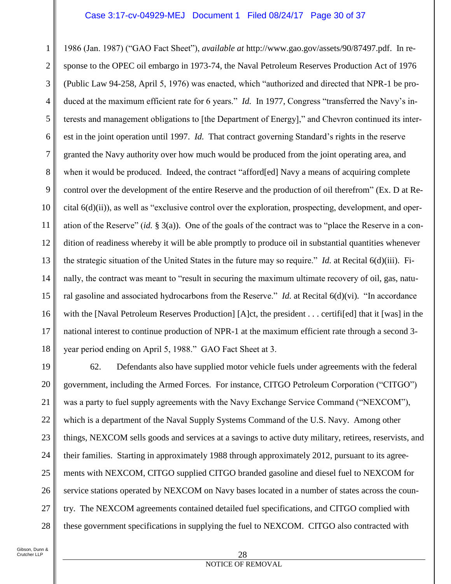### Case 3:17-cv-04929-MEJ Document 1 Filed 08/24/17 Page 30 of 37

1 2 3 4 5 6 7 8 9 10 11 12 13 14 15 16 17 18 1986 (Jan. 1987) ("GAO Fact Sheet"), *available at* [http://www.gao.gov/assets/90/87497.pdf.](www.gao.gov/assets/90/87497.pdf) In response to the OPEC oil embargo in 1973-74, the Naval Petroleum Reserves Production Act of 1976 (Public Law 94-258, April 5, 1976) was enacted, which "authorized and directed that NPR-1 be produced at the maximum efficient rate for 6 years." *Id.* In 1977, Congress "transferred the Navy's interests and management obligations to [the Department of Energy]," and Chevron continued its interest in the joint operation until 1997. *Id.* That contract governing Standard's rights in the reserve granted the Navy authority over how much would be produced from the joint operating area, and when it would be produced. Indeed, the contract "afford[ed] Navy a means of acquiring complete control over the development of the entire Reserve and the production of oil therefrom" (Ex. D at Recital 6(d)(ii)), as well as "exclusive control over the exploration, prospecting, development, and operation of the Reserve" (*id.* § 3(a)). One of the goals of the contract was to "place the Reserve in a condition of readiness whereby it will be able promptly to produce oil in substantial quantities whenever the strategic situation of the United States in the future may so require." *Id.* at Recital 6(d)(iii). Finally, the contract was meant to "result in securing the maximum ultimate recovery of oil, gas, natural gasoline and associated hydrocarbons from the Reserve." *Id.* at Recital 6(d)(vi). "In accordance with the [Naval Petroleum Reserves Production] [A]ct, the president . . . certifi[ed] that it [was] in the national interest to continue production of NPR-1 at the maximum efficient rate through a second 3 year period ending on April 5, 1988." GAO Fact Sheet at 3.

19 20 21 22 23 24 25 26 27 28 62. Defendants also have supplied motor vehicle fuels under agreements with the federal government, including the Armed Forces. For instance, CITGO Petroleum Corporation ("CITGO") was a party to fuel supply agreements with the Navy Exchange Service Command ("NEXCOM"), which is a department of the Naval Supply Systems Command of the U.S. Navy. Among other things, NEXCOM sells goods and services at a savings to active duty military, retirees, reservists, and their families. Starting in approximately 1988 through approximately 2012, pursuant to its agreements with NEXCOM, CITGO supplied CITGO branded gasoline and diesel fuel to NEXCOM for service stations operated by NEXCOM on Navy bases located in a number of states across the country. The NEXCOM agreements contained detailed fuel specifications, and CITGO complied with these government specifications in supplying the fuel to NEXCOM. CITGO also contracted with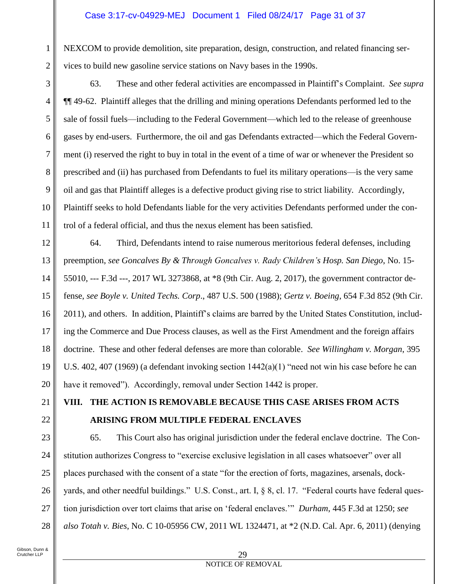NEXCOM to provide demolition, site preparation, design, construction, and related financing services to build new gasoline service stations on Navy bases in the 1990s.

63. These and other federal activities are encompassed in Plaintiff's Complaint. *See supra*  ¶¶ 49-62. Plaintiff alleges that the drilling and mining operations Defendants performed led to the sale of fossil fuels—including to the Federal Government—which led to the release of greenhouse gases by end-users. Furthermore, the oil and gas Defendants extracted—which the Federal Government (i) reserved the right to buy in total in the event of a time of war or whenever the President so prescribed and (ii) has purchased from Defendants to fuel its military operations—is the very same oil and gas that Plaintiff alleges is a defective product giving rise to strict liability. Accordingly, Plaintiff seeks to hold Defendants liable for the very activities Defendants performed under the control of a federal official, and thus the nexus element has been satisfied.

12 13 14 15 16 17 18 19 20 64. Third, Defendants intend to raise numerous meritorious federal defenses, including preemption, *see Goncalves By & Through Goncalves v. Rady Children's Hosp. San Diego*, No. 15- 55010, --- F.3d ---, 2017 WL 3273868, at \*8 (9th Cir. Aug. 2, 2017), the government contractor defense, *see Boyle v. United Techs. Corp*., 487 U.S. 500 (1988); *Gertz v. Boeing*, 654 F.3d 852 (9th Cir. 2011), and others. In addition, Plaintiff's claims are barred by the United States Constitution, including the Commerce and Due Process clauses, as well as the First Amendment and the foreign affairs doctrine. These and other federal defenses are more than colorable. *See Willingham v. Morgan*, 395 U.S. 402, 407 (1969) (a defendant invoking section 1442(a)(1) "need not win his case before he can have it removed"). Accordingly, removal under Section 1442 is proper.

## **VIII. THE ACTION IS REMOVABLE BECAUSE THIS CASE ARISES FROM ACTS ARISING FROM MULTIPLE FEDERAL ENCLAVES**

23 24 25 26 27 28 65. This Court also has original jurisdiction under the federal enclave doctrine. The Constitution authorizes Congress to "exercise exclusive legislation in all cases whatsoever" over all places purchased with the consent of a state "for the erection of forts, magazines, arsenals, dockyards, and other needful buildings." U.S. Const., art. I, § 8, cl. 17. "Federal courts have federal question jurisdiction over tort claims that arise on 'federal enclaves.'" *Durham*, 445 F.3d at 1250; *see also Totah v. Bies*, No. C 10-05956 CW, 2011 WL 1324471, at \*2 (N.D. Cal. Apr. 6, 2011) (denying

21

22

1

2

3

4

5

6

7

8

9

10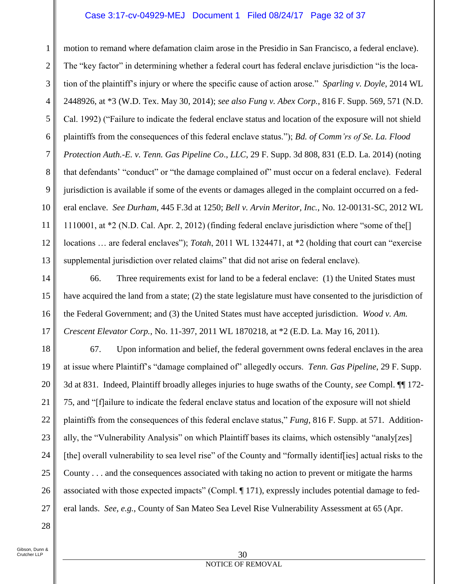## Case 3:17-cv-04929-MEJ Document 1 Filed 08/24/17 Page 32 of 37

1 2 3 4 5 6 7 8 9 10 11 12 13 motion to remand where defamation claim arose in the Presidio in San Francisco, a federal enclave). The "key factor" in determining whether a federal court has federal enclave jurisdiction "is the location of the plaintiff's injury or where the specific cause of action arose." *Sparling v. Doyle*, 2014 WL 2448926, at \*3 (W.D. Tex. May 30, 2014); *see also Fung v. Abex Corp.*, 816 F. Supp. 569, 571 (N.D. Cal. 1992) ("Failure to indicate the federal enclave status and location of the exposure will not shield plaintiffs from the consequences of this federal enclave status."); *Bd. of Comm'rs of Se. La. Flood Protection Auth.-E. v. Tenn. Gas Pipeline Co*., *LLC*, 29 F. Supp. 3d 808, 831 (E.D. La. 2014) (noting that defendants' "conduct" or "the damage complained of" must occur on a federal enclave). Federal jurisdiction is available if some of the events or damages alleged in the complaint occurred on a federal enclave. *See Durham*, 445 F.3d at 1250; *Bell v. Arvin Meritor, Inc.*, No. 12-00131-SC, 2012 WL 1110001, at \*2 (N.D. Cal. Apr. 2, 2012) (finding federal enclave jurisdiction where "some of the[] locations … are federal enclaves"); *Totah*, 2011 WL 1324471, at \*2 (holding that court can "exercise supplemental jurisdiction over related claims" that did not arise on federal enclave).

14 15 16 17 66. Three requirements exist for land to be a federal enclave: (1) the United States must have acquired the land from a state; (2) the state legislature must have consented to the jurisdiction of the Federal Government; and (3) the United States must have accepted jurisdiction. *Wood v. Am. Crescent Elevator Corp.*, No. 11-397, 2011 WL 1870218, at \*2 (E.D. La. May 16, 2011).

18 19 20 21 22 23 24 25 26 27 67. Upon information and belief, the federal government owns federal enclaves in the area at issue where Plaintiff's "damage complained of" allegedly occurs. *Tenn. Gas Pipeline*, 29 F. Supp. 3d at 831. Indeed, Plaintiff broadly alleges injuries to huge swaths of the County, *see* Compl. ¶¶ 172- 75, and "[f]ailure to indicate the federal enclave status and location of the exposure will not shield plaintiffs from the consequences of this federal enclave status," *Fung*, 816 F. Supp. at 571. Additionally, the "Vulnerability Analysis" on which Plaintiff bases its claims, which ostensibly "analy[zes] [the] overall vulnerability to sea level rise" of the County and "formally identif[ies] actual risks to the County . . . and the consequences associated with taking no action to prevent or mitigate the harms associated with those expected impacts" (Compl. ¶ 171), expressly includes potential damage to federal lands. *See, e.g.*, County of San Mateo Sea Level Rise Vulnerability Assessment at 65 (Apr.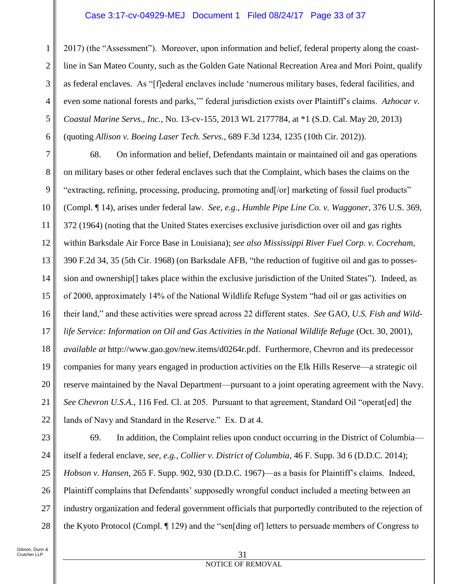## Case 3:17-cv-04929-MEJ Document 1 Filed 08/24/17 Page 33 of 37

2017) (the "Assessment"). Moreover, upon information and belief, federal property along the coastline in San Mateo County, such as the Golden Gate National Recreation Area and Mori Point, qualify as federal enclaves. As "[f]ederal enclaves include 'numerous military bases, federal facilities, and even some national forests and parks,'" federal jurisdiction exists over Plaintiff's claims. *Azhocar v. Coastal Marine Servs., Inc.*, No. 13-cv-155, 2013 WL 2177784, at \*1 (S.D. Cal. May 20, 2013) (quoting *Allison v. Boeing Laser Tech. Servs.*, 689 F.3d 1234, 1235 (10th Cir. 2012)).

7 8 9 10 11 12 13 14 15 16 17 18 19 20 21 22 68. On information and belief, Defendants maintain or maintained oil and gas operations on military bases or other federal enclaves such that the Complaint, which bases the claims on the "extracting, refining, processing, producing, promoting and[/or] marketing of fossil fuel products" (Compl. ¶ 14), arises under federal law. *See, e.g*., *Humble Pipe Line Co. v. Waggoner*, 376 U.S. 369, 372 (1964) (noting that the United States exercises exclusive jurisdiction over oil and gas rights within Barksdale Air Force Base in Louisiana); *see also Mississippi River Fuel Corp. v. Cocreham*, 390 F.2d 34, 35 (5th Cir. 1968) (on Barksdale AFB, "the reduction of fugitive oil and gas to possession and ownership[] takes place within the exclusive jurisdiction of the United States"). Indeed, as of 2000, approximately 14% of the National Wildlife Refuge System "had oil or gas activities on their land," and these activities were spread across 22 different states. *See* GAO, *U.S. Fish and Wildlife Service: Information on Oil and Gas Activities in the National Wildlife Refuge* (Oct. 30, 2001), *available at* [http://www.gao.gov/new.items/d0264r.pdf.](www.gao.gov/new.items/d0264r.pdf) Furthermore, Chevron and its predecessor companies for many years engaged in production activities on the Elk Hills Reserve—a strategic oil reserve maintained by the Naval Department—pursuant to a joint operating agreement with the Navy. *See Chevron U.S.A.*, 116 Fed. Cl. at 205. Pursuant to that agreement, Standard Oil "operat[ed] the lands of Navy and Standard in the Reserve." Ex. D at 4.

23 24 25 26 27 28 69. In addition, the Complaint relies upon conduct occurring in the District of Columbia itself a federal enclave, *see, e.g.*, *Collier v. District of Columbia*, 46 F. Supp. 3d 6 (D.D.C. 2014); *Hobson v. Hansen*, 265 F. Supp. 902, 930 (D.D.C. 1967)—as a basis for Plaintiff's claims. Indeed, Plaintiff complains that Defendants' supposedly wrongful conduct included a meeting between an industry organization and federal government officials that purportedly contributed to the rejection of the Kyoto Protocol (Compl. ¶ 129) and the "sen[ding of] letters to persuade members of Congress to

1

2

3

4

5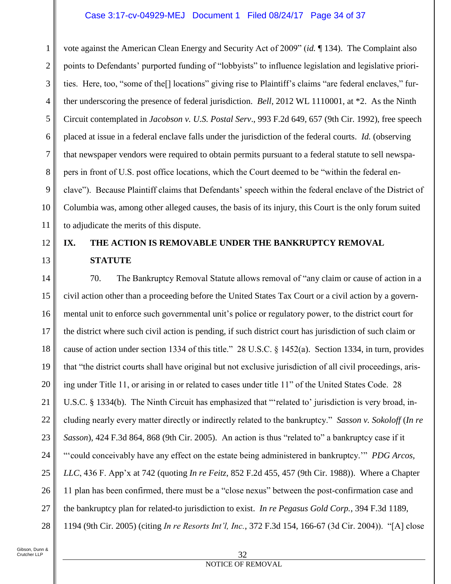## Case 3:17-cv-04929-MEJ Document 1 Filed 08/24/17 Page 34 of 37

1 2 3 4 5 6 7 8 9 10 11 vote against the American Clean Energy and Security Act of 2009" (*id.* ¶ 134). The Complaint also points to Defendants' purported funding of "lobbyists" to influence legislation and legislative priorities. Here, too, "some of the[] locations" giving rise to Plaintiff's claims "are federal enclaves," further underscoring the presence of federal jurisdiction. *Bell*, 2012 WL 1110001, at \*2. As the Ninth Circuit contemplated in *Jacobson v. U.S. Postal Serv*., 993 F.2d 649, 657 (9th Cir. 1992), free speech placed at issue in a federal enclave falls under the jurisdiction of the federal courts. *Id.* (observing that newspaper vendors were required to obtain permits pursuant to a federal statute to sell newspapers in front of U.S. post office locations, which the Court deemed to be "within the federal enclave"). Because Plaintiff claims that Defendants' speech within the federal enclave of the District of Columbia was, among other alleged causes, the basis of its injury, this Court is the only forum suited to adjudicate the merits of this dispute.

## **IX. THE ACTION IS REMOVABLE UNDER THE BANKRUPTCY REMOVAL STATUTE**

14 15 16 17 18 19 20 21 22 23 24 25 26 27 28 70. The Bankruptcy Removal Statute allows removal of "any claim or cause of action in a civil action other than a proceeding before the United States Tax Court or a civil action by a governmental unit to enforce such governmental unit's police or regulatory power, to the district court for the district where such civil action is pending, if such district court has jurisdiction of such claim or cause of action under section 1334 of this title." 28 U.S.C. § 1452(a). Section 1334, in turn, provides that "the district courts shall have original but not exclusive jurisdiction of all civil proceedings, arising under Title 11, or arising in or related to cases under title 11" of the United States Code. 28 U.S.C. § 1334(b). The Ninth Circuit has emphasized that "'related to' jurisdiction is very broad, including nearly every matter directly or indirectly related to the bankruptcy." *Sasson v. Sokoloff* (*In re Sasson*), 424 F.3d 864, 868 (9th Cir. 2005). An action is thus "related to" a bankruptcy case if it "'could conceivably have any effect on the estate being administered in bankruptcy.'" *PDG Arcos, LLC*, 436 F. App'x at 742 (quoting *In re Feitz*, 852 F.2d 455, 457 (9th Cir. 1988)). Where a Chapter 11 plan has been confirmed, there must be a "close nexus" between the post-confirmation case and the bankruptcy plan for related-to jurisdiction to exist. *In re Pegasus Gold Corp.*, 394 F.3d 1189, 1194 (9th Cir. 2005) (citing *In re Resorts Int'l, Inc.*, 372 F.3d 154, 166-67 (3d Cir. 2004)). "[A] close

12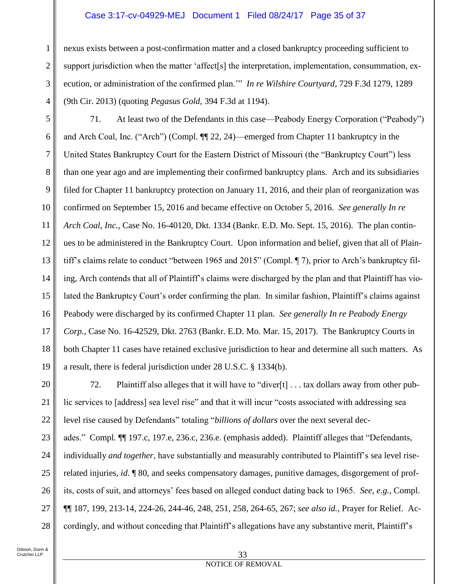## Case 3:17-cv-04929-MEJ Document 1 Filed 08/24/17 Page 35 of 37

nexus exists between a post-confirmation matter and a closed bankruptcy proceeding sufficient to support jurisdiction when the matter 'affect[s] the interpretation, implementation, consummation, execution, or administration of the confirmed plan.'" *In re Wilshire Courtyard*, 729 F.3d 1279, 1289 (9th Cir. 2013) (quoting *Pegasus Gold*, 394 F.3d at 1194).

5 6 7 8 9 10 11 12 13 14 15 16 17 18 19 71. At least two of the Defendants in this case—Peabody Energy Corporation ("Peabody") and Arch Coal, Inc. ("Arch") (Compl. ¶¶ 22, 24)—emerged from Chapter 11 bankruptcy in the United States Bankruptcy Court for the Eastern District of Missouri (the "Bankruptcy Court") less than one year ago and are implementing their confirmed bankruptcy plans. Arch and its subsidiaries filed for Chapter 11 bankruptcy protection on January 11, 2016, and their plan of reorganization was confirmed on September 15, 2016 and became effective on October 5, 2016. *See generally In re Arch Coal, Inc*., Case No. 16-40120, Dkt. 1334 (Bankr. E.D. Mo. Sept. 15, 2016). The plan continues to be administered in the Bankruptcy Court. Upon information and belief, given that all of Plaintiff's claims relate to conduct "between 1965 and 2015" (Compl. ¶ 7), prior to Arch's bankruptcy filing, Arch contends that all of Plaintiff's claims were discharged by the plan and that Plaintiff has violated the Bankruptcy Court's order confirming the plan. In similar fashion, Plaintiff's claims against Peabody were discharged by its confirmed Chapter 11 plan. *See generally In re Peabody Energy Corp.*, Case No. 16-42529, Dkt. 2763 (Bankr. E.D. Mo. Mar. 15, 2017). The Bankruptcy Courts in both Chapter 11 cases have retained exclusive jurisdiction to hear and determine all such matters. As a result, there is federal jurisdiction under 28 U.S.C. § 1334(b).

20 21 22 23 24 25 26 27 28 72. Plaintiff also alleges that it will have to "diver[t] . . . tax dollars away from other public services to [address] sea level rise" and that it will incur "costs associated with addressing sea level rise caused by Defendants" totaling "*billions of dollars* over the next several decades." Compl*.* ¶¶ 197.c, 197.e, 236.c, 236.e. (emphasis added). Plaintiff alleges that "Defendants, individually *and together*, have substantially and measurably contributed to Plaintiff's sea level riserelated injuries, *id*. ¶ 80, and seeks compensatory damages, punitive damages, disgorgement of profits, costs of suit, and attorneys' fees based on alleged conduct dating back to 1965. *See, e.g.*, Compl. ¶¶ 187, 199, 213-14, 224-26, 244-46, 248, 251, 258, 264-65, 267; *see also id.*, Prayer for Relief. Accordingly, and without conceding that Plaintiff's allegations have any substantive merit, Plaintiff's

1

2

3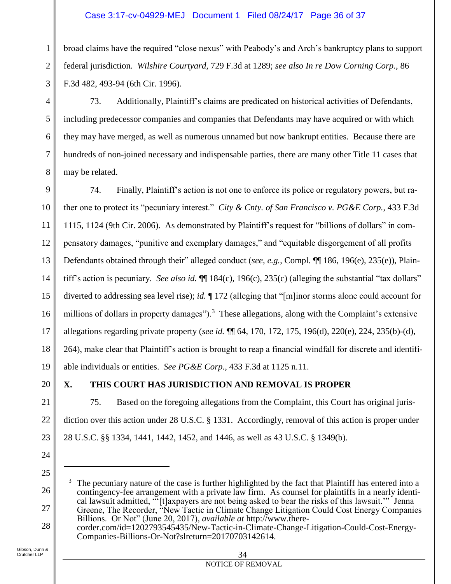## Case 3:17-cv-04929-MEJ Document 1 Filed 08/24/17 Page 36 of 37

broad claims have the required "close nexus" with Peabody's and Arch's bankruptcy plans to support federal jurisdiction. *Wilshire Courtyard*, 729 F.3d at 1289; *see also In re Dow Corning Corp.*, 86 F.3d 482, 493-94 (6th Cir. 1996).

73. Additionally, Plaintiff's claims are predicated on historical activities of Defendants, including predecessor companies and companies that Defendants may have acquired or with which they may have merged, as well as numerous unnamed but now bankrupt entities. Because there are hundreds of non-joined necessary and indispensable parties, there are many other Title 11 cases that may be related.

74. Finally, Plaintiff's action is not one to enforce its police or regulatory powers, but rather one to protect its "pecuniary interest." *City & Cnty. of San Francisco v. PG&E Corp.*, 433 F.3d 1115, 1124 (9th Cir. 2006). As demonstrated by Plaintiff's request for "billions of dollars" in compensatory damages, "punitive and exemplary damages," and "equitable disgorgement of all profits Defendants obtained through their" alleged conduct (*see, e.g.*, Compl. ¶¶ 186, 196(e), 235(e)), Plaintiff's action is pecuniary. *See also id.* ¶¶ 184(c), 196(c), 235(c) (alleging the substantial "tax dollars" diverted to addressing sea level rise); *id.* ¶ 172 (alleging that "[m]inor storms alone could account for millions of dollars in property damages").<sup>3</sup> These allegations, along with the Complaint's extensive allegations regarding private property (*see id.* ¶¶ 64, 170, 172, 175, 196(d), 220(e), 224, 235(b)-(d), 264), make clear that Plaintiff's action is brought to reap a financial windfall for discrete and identifiable individuals or entities. *See PG&E Corp.*, 433 F.3d at 1125 n.11.

 $\overline{a}$ 

## **X. THIS COURT HAS JURISDICTION AND REMOVAL IS PROPER**

75. Based on the foregoing allegations from the Complaint, this Court has original jurisdiction over this action under 28 U.S.C. § 1331. Accordingly, removal of this action is proper under 28 U.S.C. §§ 1334, 1441, 1442, 1452, and 1446, as well as 43 U.S.C. § 1349(b).

Gibson, Dunn & Crutcher LLP

1

2

3

4

<sup>&</sup>lt;sup>3</sup> The pecuniary nature of the case is further highlighted by the fact that Plaintiff has entered into a contingency-fee arrangement with a private law firm. As counsel for plaintiffs in a nearly identical lawsuit admitted, "'[t]axpayers are not being asked to bear the risks of this lawsuit.'" Jenna Greene, The Recorder, "New Tactic in Climate Change Litigation Could Cost Energy Companies Billions. Or Not" (June 20, 2017), *available at* http://www.there-

corder.com/id=1202793545435/New-Tactic-in-Climate-Change-Litigation-Could-Cost-Energy-Companies-Billions-Or-Not?slreturn=20170703142614.